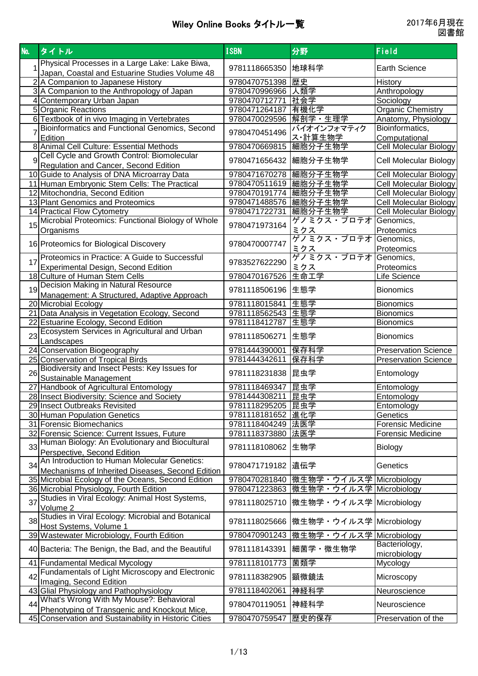| No. | タイトル                                                                                                  | <b>ISBN</b>             | 分野                      | <b>Field</b>                  |
|-----|-------------------------------------------------------------------------------------------------------|-------------------------|-------------------------|-------------------------------|
|     | Physical Processes in a Large Lake: Lake Biwa,                                                        | 9781118665350           | 地球科学                    | <b>Earth Science</b>          |
|     | Japan, Coastal and Estuarine Studies Volume 48                                                        |                         |                         |                               |
|     | 2 A Companion to Japanese History                                                                     | 9780470751398 歴史        |                         | History                       |
|     | 3 A Companion to the Anthropology of Japan                                                            | 9780470996966 人類学       |                         | Anthropology                  |
|     | 4 Contemporary Urban Japan                                                                            | 9780470712771 社会学       |                         | Sociology                     |
|     | 5 Organic Reactions                                                                                   | 9780471264187 有機化学      |                         | <b>Organic Chemistry</b>      |
|     | 6 Textbook of in vivo Imaging in Vertebrates                                                          | 9780470029596 解剖学 · 生理学 |                         | Anatomy, Physiology           |
|     | Bioinformatics and Functional Genomics, Second                                                        | 9780470451496           | バイオインフォマティク             | Bioinformatics,               |
|     | Edition                                                                                               |                         | ス・計算生物学<br>細胞分子生物学      | Computational                 |
|     | 8 Animal Cell Culture: Essential Methods                                                              | 9780470669815           |                         | Cell Molecular Biology        |
| q   | Cell Cycle and Growth Control: Biomolecular                                                           | 9780471656432           | 細胞分子生物学                 | Cell Molecular Biology        |
|     | Regulation and Cancer, Second Edition<br>10 Guide to Analysis of DNA Microarray Data                  | 9780471670278   細胞分子生物学 |                         | Cell Molecular Biology        |
|     | 11 Human Embryonic Stem Cells: The Practical                                                          | 9780470511619   細胞分子生物学 |                         | Cell Molecular Biology        |
|     | 12 Mitochondria, Second Edition                                                                       | 9780470191774   細胞分子生物学 |                         | <b>Cell Molecular Biology</b> |
|     | 13 Plant Genomics and Proteomics                                                                      | 9780471488576 細胞分子生物学   |                         | <b>Cell Molecular Biology</b> |
|     | 14 Practical Flow Cytometry                                                                           | 9780471722731 細胞分子生物学   |                         | <b>Cell Molecular Biology</b> |
|     | Microbial Proteomics: Functional Biology of Whole                                                     |                         | ゲノミクス・プロテオ              | Genomics,                     |
| 15  | Organisms                                                                                             | 9780471973164           | ミクス                     | Proteomics                    |
|     |                                                                                                       |                         | ゲノミクス・プロテオ              | Genomics,                     |
|     | 16 Proteomics for Biological Discovery                                                                | 9780470007747           | <u>ミクス</u>              | Proteomics                    |
|     | Proteomics in Practice: A Guide to Successful                                                         |                         | ゲノミクス・プロテオ              | Genomics,                     |
| 17  | <b>Experimental Design, Second Edition</b>                                                            | 9783527622290           | <u>ミクス</u>              | Proteomics                    |
|     | 18 Culture of Human Stem Cells                                                                        | 9780470167526           | 生命工学                    | Life Science                  |
|     | Decision Making in Natural Resource                                                                   |                         |                         |                               |
| 19  | Management: A Structured, Adaptive Approach                                                           | 9781118506196           | 生態学                     | <b>Bionomics</b>              |
|     | 20 Microbial Ecology                                                                                  | 9781118015841           | 生態学                     | <b>Bionomics</b>              |
|     | 21 Data Analysis in Vegetation Ecology, Second                                                        | 9781118562543 生態学       |                         | <b>Bionomics</b>              |
|     | 22 Estuarine Ecology, Second Edition                                                                  | 9781118412787 生態学       |                         | <b>Bionomics</b>              |
| 23  | Ecosystem Services in Agricultural and Urban                                                          | 9781118506271           | 生態学                     | <b>Bionomics</b>              |
|     | Landscapes                                                                                            |                         |                         |                               |
|     | 24 Conservation Biogeography                                                                          | 9781444390001           | 保存科学                    | <b>Preservation Science</b>   |
|     | 25 Conservation of Tropical Birds<br>Biodiversity and Insect Pests: Key Issues for                    | 9781444342611           | 保存科学                    | <b>Preservation Science</b>   |
| 26  | Sustainable Management                                                                                | 9781118231838 昆虫学       |                         | Entomology                    |
|     | 27 Handbook of Agricultural Entomology                                                                | 9781118469347 昆虫学       |                         | Entomology                    |
|     | 28 Insect Biodiversity: Science and Society                                                           | 9781444308211 昆虫学       |                         | Entomology                    |
|     | 29 Insect Outbreaks Revisited                                                                         | 9781118295205  昆虫学      |                         | Entomology                    |
|     | 30 Human Population Genetics                                                                          | 9781118181652 進化学       |                         | Genetics                      |
|     | 31 Forensic Biomechanics                                                                              | 9781118404249 法医学       |                         | Forensic Medicine             |
|     | 32 Forensic Science: Current Issues, Future                                                           | 9781118373880 法医学       |                         | <b>Forensic Medicine</b>      |
| 33  | Human Biology: An Evolutionary and Biocultural                                                        | 9781118108062           | 生物学                     | Biology                       |
|     | Perspective, Second Edition                                                                           |                         |                         |                               |
| 34  | An Introduction to Human Molecular Genetics:                                                          | 9780471719182           | 遺伝学                     | Genetics                      |
|     | Mechanisms of Inherited Diseases, Second Edition                                                      |                         |                         |                               |
|     | 35 Microbial Ecology of the Oceans, Second Edition                                                    | 9780470281840           | 微生物学・ウイルス学 Microbiology |                               |
|     | 36 Microbial Physiology, Fourth Edition                                                               | 9780471223863           | 微生物学・ウイルス学 Microbiology |                               |
| 37  | Studies in Viral Ecology: Animal Host Systems,                                                        | 9781118025710           | 微生物学・ウイルス学 Microbiology |                               |
|     | Volume 2                                                                                              |                         |                         |                               |
| 38  | Studies in Viral Ecology: Microbial and Botanical                                                     | 9781118025666           | 微生物学・ウイルス学 Microbiology |                               |
|     | Host Systems, Volume 1                                                                                |                         |                         |                               |
|     | 39 Wastewater Microbiology, Fourth Edition                                                            | 9780470901243           | 微生物学・ウイルス学 Microbiology |                               |
|     | 40 Bacteria: The Benign, the Bad, and the Beautiful                                                   | 9781118143391           | 細菌学・微生物学                | Bacteriology,<br>microbiology |
|     | 41 Fundamental Medical Mycology                                                                       | 9781118101773           | 菌類学                     | Mycology                      |
|     | Fundamentals of Light Microscopy and Electronic                                                       |                         |                         |                               |
| 42  | Imaging, Second Edition                                                                               | 9781118382905           | 顕微鏡法                    | Microscopy                    |
|     | 43 Glial Physiology and Pathophysiology                                                               | 9781118402061           | 神経科学                    | Neuroscience                  |
| 44  | What's Wrong With My Mouse?: Behavioral                                                               | 9780470119051           | 神経科学                    | Neuroscience                  |
|     | Phenotyping of Transgenic and Knockout Mice,<br>45 Conservation and Sustainability in Historic Cities | 9780470759547           | 歴史的保存                   |                               |
|     |                                                                                                       |                         |                         | Preservation of the           |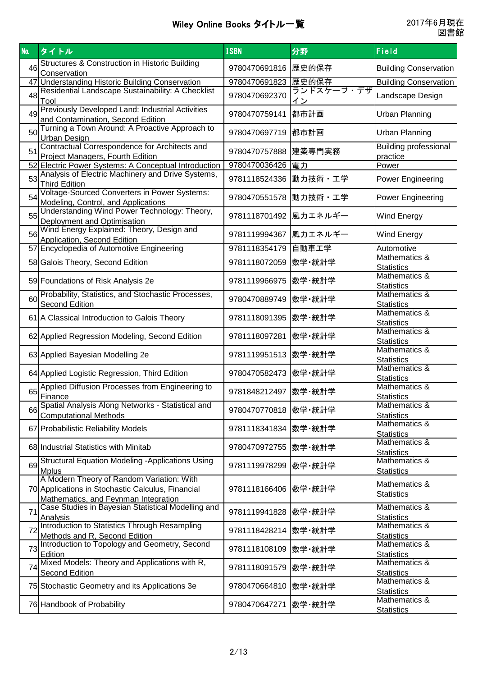| No. | タイトル                                                                                                                                   | <b>ISBN</b>           | 分野               | Field                                    |
|-----|----------------------------------------------------------------------------------------------------------------------------------------|-----------------------|------------------|------------------------------------------|
| 46  | Structures & Construction in Historic Building<br>Conservation                                                                         | 9780470691816 歴史的保存   |                  | <b>Building Conservation</b>             |
|     | 47 Understanding Historic Building Conservation                                                                                        | 9780470691823 歴史的保存   |                  | <b>Building Conservation</b>             |
| 48  | Residential Landscape Sustainability: A Checklist<br>Tool                                                                              | 9780470692370         | ランドスケープ・デザ<br>イン | Landscape Design                         |
| 49  | Previously Developed Land: Industrial Activities<br>and Contamination, Second Edition                                                  | 9780470759141         | 都市計画             | <b>Urban Planning</b>                    |
| 50  | Turning a Town Around: A Proactive Approach to<br><b>Urban Design</b>                                                                  | 9780470697719 都市計画    |                  | <b>Urban Planning</b>                    |
| 51  | Contractual Correspondence for Architects and<br>Project Managers, Fourth Edition                                                      | 9780470757888 建築専門実務  |                  | <b>Building professional</b><br>practice |
|     | 52 Electric Power Systems: A Conceptual Introduction                                                                                   | 9780470036426  電力     |                  | Power                                    |
| 53  | Analysis of Electric Machinery and Drive Systems,<br><b>Third Edition</b>                                                              | 9781118524336 動力技術・工学 |                  | <b>Power Engineering</b>                 |
| 54  | Voltage-Sourced Converters in Power Systems:<br>Modeling, Control, and Applications                                                    | 9780470551578 動力技術・工学 |                  | Power Engineering                        |
| 55  | Understanding Wind Power Technology: Theory,<br>Deployment and Optimisation                                                            | 9781118701492 風力エネルギー |                  | <b>Wind Energy</b>                       |
| 56  | Wind Energy Explained: Theory, Design and<br>Application, Second Edition                                                               | 9781119994367 風カエネルギー |                  | <b>Wind Energy</b>                       |
|     | 57 Encyclopedia of Automotive Engineering                                                                                              | 9781118354179 自動車工学   |                  | Automotive                               |
|     | 58 Galois Theory, Second Edition                                                                                                       | 9781118072059  数学・統計学 |                  | Mathematics &<br><b>Statistics</b>       |
|     | 59 Foundations of Risk Analysis 2e                                                                                                     | 9781119966975  数学·統計学 |                  | Mathematics &<br><b>Statistics</b>       |
| 60  | Probability, Statistics, and Stochastic Processes,<br>Second Edition                                                                   | 9780470889749  数学·統計学 |                  | Mathematics &<br><b>Statistics</b>       |
|     | 61 A Classical Introduction to Galois Theory                                                                                           | 9781118091395  数学·統計学 |                  | Mathematics &<br><b>Statistics</b>       |
|     | 62 Applied Regression Modeling, Second Edition                                                                                         | 9781118097281  数学·統計学 |                  | Mathematics &<br><b>Statistics</b>       |
|     | 63 Applied Bayesian Modelling 2e                                                                                                       | 9781119951513 数学・統計学  |                  | Mathematics &<br><b>Statistics</b>       |
|     | 64 Applied Logistic Regression, Third Edition                                                                                          | 9780470582473  数学·統計学 |                  | Mathematics &<br><b>Statistics</b>       |
| 65  | Applied Diffusion Processes from Engineering to<br>Finance                                                                             | 9781848212497  数学·統計学 |                  | Mathematics &<br><b>Statistics</b>       |
| 66  | Spatial Analysis Along Networks - Statistical and<br><b>Computational Methods</b>                                                      | 9780470770818  数学·統計学 |                  | Mathematics &<br><b>Statistics</b>       |
|     | 67 Probabilistic Reliability Models                                                                                                    | 9781118341834  数学·統計学 |                  | Mathematics &<br><b>Statistics</b>       |
|     | 68 Industrial Statistics with Minitab                                                                                                  | 9780470972755  数学・統計学 |                  | Mathematics &<br><b>Statistics</b>       |
| 69  | <b>Structural Equation Modeling -Applications Using</b><br><b>Mplus</b>                                                                | 9781119978299  数学・統計学 |                  | Mathematics &<br><b>Statistics</b>       |
|     | A Modern Theory of Random Variation: With<br>70 Applications in Stochastic Calculus, Financial<br>Mathematics, and Feynman Integration | 9781118166406  数学·統計学 |                  | Mathematics &<br><b>Statistics</b>       |
| 71  | Case Studies in Bayesian Statistical Modelling and<br>Analysis                                                                         | 9781119941828  数学·統計学 |                  | Mathematics &<br><b>Statistics</b>       |
| 72  | Introduction to Statistics Through Resampling<br>Methods and R, Second Edition                                                         | 9781118428214  数学·統計学 |                  | Mathematics &<br><b>Statistics</b>       |
|     | 73 Introduction to Topology and Geometry, Second<br>Edition                                                                            | 9781118108109  数学·統計学 |                  | Mathematics &<br><b>Statistics</b>       |
| 74  | Mixed Models: Theory and Applications with R,<br>Second Edition                                                                        | 9781118091579  数学・統計学 |                  | Mathematics &<br><b>Statistics</b>       |
|     | 75 Stochastic Geometry and its Applications 3e                                                                                         | 9780470664810  数学・統計学 |                  | Mathematics &<br><b>Statistics</b>       |
|     | 76 Handbook of Probability                                                                                                             | 9780470647271  数学·統計学 |                  | Mathematics &<br><b>Statistics</b>       |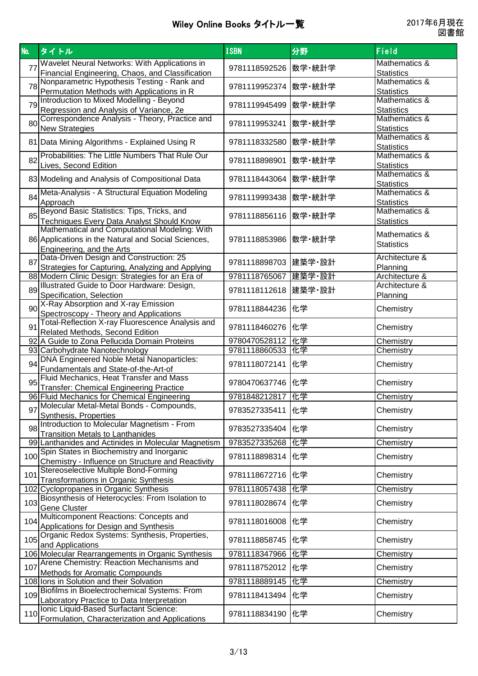| No. | タイトル                                                                | <b>ISBN</b>           | 分野     | Field                              |
|-----|---------------------------------------------------------------------|-----------------------|--------|------------------------------------|
|     | Wavelet Neural Networks: With Applications in                       |                       |        | <b>Mathematics &amp;</b>           |
| 77  | Financial Engineering, Chaos, and Classification                    | 9781118592526  数学·統計学 |        | <b>Statistics</b>                  |
|     | Nonparametric Hypothesis Testing - Rank and                         |                       |        | Mathematics &                      |
| 78  | Permutation Methods with Applications in R                          | 9781119952374  数学·統計学 |        | <b>Statistics</b>                  |
| 79  | Introduction to Mixed Modelling - Beyond                            | 9781119945499  数学·統計学 |        | Mathematics &                      |
|     | Regression and Analysis of Variance, 2e                             |                       |        | <b>Statistics</b>                  |
| 80  | Correspondence Analysis - Theory, Practice and                      | 9781119953241  数学·統計学 |        | Mathematics &                      |
|     | <b>New Strategies</b>                                               |                       |        | <b>Statistics</b>                  |
|     | 81 Data Mining Algorithms - Explained Using R                       | 9781118332580  数学·統計学 |        | <b>Mathematics &amp;</b>           |
|     | Probabilities: The Little Numbers That Rule Our                     |                       |        | <b>Statistics</b>                  |
| 82  |                                                                     | 9781118898901         | 数学・統計学 | Mathematics &                      |
|     | Lives, Second Edition                                               |                       |        | <b>Statistics</b><br>Mathematics & |
|     | 83 Modeling and Analysis of Compositional Data                      | 9781118443064  数学·統計学 |        | <b>Statistics</b>                  |
|     | Meta-Analysis - A Structural Equation Modeling                      |                       |        | Mathematics &                      |
| 84  | Approach                                                            | 9781119993438  数学・統計学 |        | <b>Statistics</b>                  |
|     | Beyond Basic Statistics: Tips, Tricks, and                          |                       |        | Mathematics &                      |
| 85  | <b>Techniques Every Data Analyst Should Know</b>                    | 9781118856116 数学·統計学  |        | <b>Statistics</b>                  |
|     | Mathematical and Computational Modeling: With                       |                       |        | Mathematics &                      |
|     | 86 Applications in the Natural and Social Sciences,                 | 9781118853986  数学·統計学 |        | <b>Statistics</b>                  |
|     | Engineering, and the Arts                                           |                       |        |                                    |
| 87  | Data-Driven Design and Construction: 25                             | 9781118898703 健築学·設計  |        | Architecture &                     |
|     | Strategies for Capturing, Analyzing and Applying                    |                       |        | Planning                           |
|     | 88 Modern Clinic Design: Strategies for an Era of                   | 9781118765067 建築学·設計  |        | Architecture &                     |
| 89  | Illustrated Guide to Door Hardware: Design,                         | 9781118112618  建築学·設計 |        | Architecture &                     |
|     | Specification, Selection<br>X-Ray Absorption and X-ray Emission     |                       |        | Planning                           |
| 90  | Spectroscopy - Theory and Applications                              | 9781118844236   化学    |        | Chemistry                          |
|     | Total-Reflection X-ray Fluorescence Analysis and                    |                       |        |                                    |
| 91  | Related Methods, Second Edition                                     | 9781118460276   化学    |        | Chemistry                          |
|     | 92 A Guide to Zona Pellucida Domain Proteins                        | 9780470528112         | 化学     | Chemistry                          |
|     | 93 Carbohydrate Nanotechnology                                      | 9781118860533  化学     |        | Chemistry                          |
| 94  | <b>DNA Engineered Noble Metal Nanoparticles:</b>                    | 9781118072141  化学     |        | Chemistry                          |
|     | Fundamentals and State-of-the-Art-of                                |                       |        |                                    |
| 95  | Fluid Mechanics, Heat Transfer and Mass                             | 9780470637746  化学     |        | Chemistry                          |
|     | <b>Transfer: Chemical Engineering Practice</b>                      |                       |        |                                    |
|     | 96 Fluid Mechanics for Chemical Engineering                         | 9781848212817   化学    |        | Chemistry                          |
| 97  | Molecular Metal-Metal Bonds - Compounds,                            | 9783527335411         | 化学     | Chemistry                          |
|     | Synthesis, Properties<br>Introduction to Molecular Magnetism - From |                       |        |                                    |
| 98  | <b>Transition Metals to Lanthanides</b>                             | 9783527335404   化学    |        | Chemistry                          |
|     | 99 Lanthanides and Actinides in Molecular Magnetism                 | 9783527335268   化学    |        | Chemistry                          |
|     | Spin States in Biochemistry and Inorganic                           |                       |        |                                    |
| 100 | Chemistry - Influence on Structure and Reactivity                   | 9781118898314  化学     |        | Chemistry                          |
| 101 | Stereoselective Multiple Bond-Forming                               | 9781118672716  化学     |        |                                    |
|     | <b>Transformations in Organic Synthesis</b>                         |                       |        | Chemistry                          |
|     | 102 Cyclopropanes in Organic Synthesis                              | 9781118057438  化学     |        | Chemistry                          |
| 103 | Biosynthesis of Heterocycles: From Isolation to                     | 9781118028674  化学     |        | Chemistry                          |
|     | <b>Gene Cluster</b>                                                 |                       |        |                                    |
| 104 | Multicomponent Reactions: Concepts and                              | 9781118016008   化学    |        | Chemistry                          |
|     | Applications for Design and Synthesis                               |                       |        |                                    |
| 105 | Organic Redox Systems: Synthesis, Properties,<br>and Applications   | 9781118858745   化学    |        | Chemistry                          |
|     | 106 Molecular Rearrangements in Organic Synthesis                   | 9781118347966 化学      |        | Chemistry                          |
|     | Arene Chemistry: Reaction Mechanisms and                            |                       |        |                                    |
| 107 | Methods for Aromatic Compounds                                      | 9781118752012   化学    |        | Chemistry                          |
|     | 108 Ions in Solution and their Solvation                            | 9781118889145   化学    |        | Chemistry                          |
| 109 | Biofilms in Bioelectrochemical Systems: From                        | 9781118413494  化学     |        |                                    |
|     | Laboratory Practice to Data Interpretation                          |                       |        | Chemistry                          |
| 110 | Ionic Liquid-Based Surfactant Science:                              | 9781118834190   化学    |        | Chemistry                          |
|     | Formulation, Characterization and Applications                      |                       |        |                                    |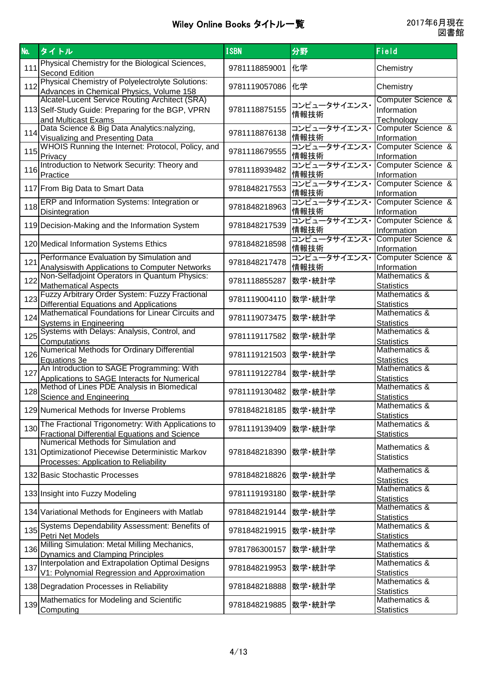| No. | タイトル                                                                                                                                                                                 | <b>ISBN</b>          | 分野                   | Field                                           |
|-----|--------------------------------------------------------------------------------------------------------------------------------------------------------------------------------------|----------------------|----------------------|-------------------------------------------------|
| 111 | Physical Chemistry for the Biological Sciences,<br><b>Second Edition</b>                                                                                                             | 9781118859001        | 化学                   | Chemistry                                       |
| 112 | Physical Chemistry of Polyelectrolyte Solutions:<br>Advances in Chemical Physics, Volume 158                                                                                         | 9781119057086        | 化学                   | Chemistry                                       |
|     | Alcatel-Lucent Service Routing Architect (SRA)<br>113 Self-Study Guide: Preparing for the BGP, VPRN<br>and Multicast Exams                                                           | 9781118875155        | コンピュータサイエンス・<br>情報技術 | Computer Science &<br>Information<br>Technology |
| 114 | Data Science & Big Data Analytics:nalyzing,<br><b>Visualizing and Presenting Data</b>                                                                                                | 9781118876138        | コンピュータサイエンス・<br>情報技術 | Computer Science &<br>Information               |
| 115 | WHOIS Running the Internet: Protocol, Policy, and<br>Privacy                                                                                                                         | 9781118679555        | コンピュータサイエンス・<br>情報技術 | Computer Science &<br>Information               |
| 116 | Introduction to Network Security: Theory and<br>Practice                                                                                                                             | 9781118939482        | コンピュータサイエンス・<br>情報技術 | Computer Science &<br>Information               |
|     | 117 From Big Data to Smart Data                                                                                                                                                      | 9781848217553        | コンピュータサイエンス・<br>情報技術 | Computer Science &<br>Information               |
| 118 | ERP and Information Systems: Integration or<br><b>Disintegration</b>                                                                                                                 | 9781848218963        | コンピュータサイエンス・<br>情報技術 | Computer Science &<br>Information               |
|     | 119 Decision-Making and the Information System                                                                                                                                       | 9781848217539        | コンピュータサイエンス・<br>情報技術 | Computer Science &<br>Information               |
|     | 120 Medical Information Systems Ethics                                                                                                                                               | 9781848218598        | コンピュータサイエンス・<br>情報技術 | Computer Science &<br>Information               |
| 121 | Performance Evaluation by Simulation and<br>Analysiswith Applications to Computer Networks                                                                                           | 9781848217478        | コンピュータサイエンス・<br>情報技術 | Computer Science &<br>Information               |
| 122 | Non-Selfadjoint Operators in Quantum Physics:<br><b>Mathematical Aspects</b>                                                                                                         | 9781118855287        | 数学·統計学               | Mathematics &<br><b>Statistics</b>              |
| 123 | Fuzzy Arbitrary Order System: Fuzzy Fractional<br>Differential Equations and Applications                                                                                            | 9781119004110        | 数学·統計学               | Mathematics &<br><b>Statistics</b>              |
| 124 | Mathematical Foundations for Linear Circuits and<br><b>Systems in Engineering</b>                                                                                                    | 9781119073475        | 数学·統計学               | Mathematics &<br><b>Statistics</b>              |
| 125 | Systems with Delays: Analysis, Control, and<br>Computations                                                                                                                          | 9781119117582        | 数学·統計学               | Mathematics &<br><b>Statistics</b>              |
| 126 | Numerical Methods for Ordinary Differential<br>Equations 3e                                                                                                                          | 9781119121503        | 数学·統計学               | Mathematics &<br><b>Statistics</b>              |
| 127 | An Introduction to SAGE Programming: With<br>Applications to SAGE Interacts for Numerical                                                                                            | 9781119122784        | 数学·統計学               | Mathematics &<br><b>Statistics</b>              |
| 128 | Method of Lines PDE Analysis in Biomedical<br><b>Science and Engineering</b>                                                                                                         | 9781119130482 数学·統計学 |                      | Mathematics &<br><b>Statistics</b>              |
|     | 129 Numerical Methods for Inverse Problems                                                                                                                                           | 9781848218185        | 数学·統計学               | Mathematics &<br><b>Statistics</b>              |
| 130 | The Fractional Trigonometry: With Applications to                                                                                                                                    | 9781119139409        | 数学·統計学               | Mathematics &<br><b>Statistics</b>              |
|     | Fractional Differential Equations and Science<br>Numerical Methods for Simulation and<br>131 Optimization of Piecewise Deterministic Markov<br>Processes: Application to Reliability | 9781848218390        | 数学·統計学               | Mathematics &<br><b>Statistics</b>              |
|     | 132 Basic Stochastic Processes                                                                                                                                                       | 9781848218826        | 数学·統計学               | Mathematics &<br><b>Statistics</b>              |
|     | 133 Insight into Fuzzy Modeling                                                                                                                                                      | 9781119193180        | 数学·統計学               | Mathematics &<br><b>Statistics</b>              |
|     | 134 Variational Methods for Engineers with Matlab                                                                                                                                    | 9781848219144        | 数学·統計学               | Mathematics &<br><b>Statistics</b>              |
| 135 | Systems Dependability Assessment: Benefits of<br>Petri Net Models                                                                                                                    | 9781848219915        | 数学·統計学               | Mathematics &<br><b>Statistics</b>              |
| 136 | Milling Simulation: Metal Milling Mechanics,<br><b>Dynamics and Clamping Principles</b>                                                                                              | 9781786300157        | 数学·統計学               | Mathematics &<br><b>Statistics</b>              |
| 137 | Interpolation and Extrapolation Optimal Designs<br>V1: Polynomial Regression and Approximation                                                                                       | 9781848219953        | 数学·統計学               | Mathematics &<br><b>Statistics</b>              |
|     | 138 Degradation Processes in Reliability                                                                                                                                             | 9781848218888        | 数学·統計学               | Mathematics &<br><b>Statistics</b>              |
| 139 | Mathematics for Modeling and Scientific<br>Computing                                                                                                                                 | 9781848219885        | 数学·統計学               | Mathematics &<br><b>Statistics</b>              |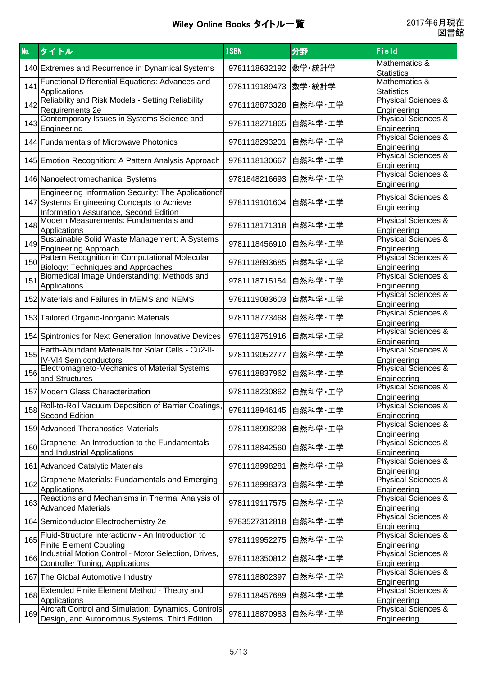| No. | タイトル                                                                                   | <b>ISBN</b>   | 分野      | Field                                         |
|-----|----------------------------------------------------------------------------------------|---------------|---------|-----------------------------------------------|
|     | 140 Extremes and Recurrence in Dynamical Systems                                       | 9781118632192 | 数学·統計学  | Mathematics &                                 |
|     |                                                                                        |               |         | <b>Statistics</b><br>Mathematics &            |
| 141 | Functional Differential Equations: Advances and<br>Applications                        | 9781119189473 | 数学·統計学  | <b>Statistics</b>                             |
| 142 | Reliability and Risk Models - Setting Reliability                                      | 9781118873328 | 自然科学・工学 | Physical Sciences &                           |
|     | Requirements 2e<br>Contemporary Issues in Systems Science and                          |               |         | Engineering<br><b>Physical Sciences &amp;</b> |
| 143 | Engineering                                                                            | 9781118271865 | 自然科学·工学 | Engineering                                   |
|     | 144 Fundamentals of Microwave Photonics                                                | 9781118293201 | 自然科学・工学 | <b>Physical Sciences &amp;</b>                |
|     |                                                                                        |               |         | Engineering<br>Physical Sciences &            |
|     | 145 Emotion Recognition: A Pattern Analysis Approach                                   | 9781118130667 | 自然科学・工学 | Engineering                                   |
|     | 146 Nanoelectromechanical Systems                                                      | 9781848216693 | 自然科学・工学 | <b>Physical Sciences &amp;</b>                |
|     | Engineering Information Security: The Applicationof                                    |               |         | Engineering                                   |
|     | 147 Systems Engineering Concepts to Achieve                                            | 9781119101604 | 自然科学・工学 | <b>Physical Sciences &amp;</b><br>Engineering |
|     | <b>Information Assurance, Second Edition</b>                                           |               |         |                                               |
| 148 | Modern Measurements: Fundamentals and<br>Applications                                  | 9781118171318 | 自然科学・工学 | <b>Physical Sciences &amp;</b><br>Engineering |
| 149 | Sustainable Solid Waste Management: A Systems                                          | 9781118456910 | 自然科学・工学 | <b>Physical Sciences &amp;</b>                |
|     | <b>Engineering Approach</b>                                                            |               |         | Engineering                                   |
| 150 | Pattern Recognition in Computational Molecular<br>Biology: Techniques and Approaches   | 9781118893685 | 自然科学・工学 | <b>Physical Sciences &amp;</b><br>Engineering |
| 151 | Biomedical Image Understanding: Methods and                                            | 9781118715154 | 自然科学·工学 | <b>Physical Sciences &amp;</b>                |
|     | Applications                                                                           |               |         | Engineering                                   |
|     | 152 Materials and Failures in MEMS and NEMS                                            | 9781119083603 | 自然科学·工学 | <b>Physical Sciences &amp;</b><br>Engineering |
|     | 153 Tailored Organic-Inorganic Materials                                               | 9781118773468 | 自然科学·工学 | Physical Sciences &                           |
|     |                                                                                        |               |         | Engineering                                   |
|     | 154 Spintronics for Next Generation Innovative Devices                                 | 9781118751916 | 自然科学・工学 | <b>Physical Sciences &amp;</b><br>Engineering |
| 155 | Earth-Abundant Materials for Solar Cells - Cu2-II-                                     | 9781119052777 | 自然科学・工学 | <b>Physical Sciences &amp;</b>                |
|     | <b>IV-VI4 Semiconductors</b><br>Electromagneto-Mechanics of Material Systems           |               |         | Engineering<br>Physical Sciences &            |
| 156 | and Structures                                                                         | 9781118837962 | 自然科学・工学 | Engineering                                   |
|     | 157 Modern Glass Characterization                                                      | 9781118230862 | 自然科学・工学 | <b>Physical Sciences &amp;</b>                |
|     | Roll-to-Roll Vacuum Deposition of Barrier Coatings,                                    |               |         | Engineering<br><b>Physical Sciences &amp;</b> |
| 158 | <b>Second Edition</b>                                                                  | 9781118946145 | 自然科学・工学 | Engineering                                   |
|     | 159 Advanced Theranostics Materials                                                    | 9781118998298 | 自然科学·工学 | <b>Physical Sciences &amp;</b>                |
|     | Graphene: An Introduction to the Fundamentals                                          |               |         | Engineering<br><b>Physical Sciences &amp;</b> |
| 160 | and Industrial Applications                                                            | 9781118842560 | 自然科学·工学 | Engineering                                   |
|     | 161 Advanced Catalytic Materials                                                       | 9781118998281 | 自然科学・工学 | <b>Physical Sciences &amp;</b>                |
|     | <b>Graphene Materials: Fundamentals and Emerging</b>                                   |               |         | Engineering<br><b>Physical Sciences &amp;</b> |
| 162 | Applications                                                                           | 9781118998373 | 自然科学・工学 | Engineering                                   |
| 163 | Reactions and Mechanisms in Thermal Analysis of                                        | 9781119117575 | 自然科学・工学 | <b>Physical Sciences &amp;</b>                |
|     | <b>Advanced Materials</b>                                                              |               |         | Engineering<br><b>Physical Sciences &amp;</b> |
|     | 164 Semiconductor Electrochemistry 2e                                                  | 9783527312818 | 自然科学・工学 | Engineering                                   |
| 165 | Fluid-Structure Interactionv - An Introduction to                                      | 9781119952275 | 自然科学·工学 | <b>Physical Sciences &amp;</b>                |
|     | <b>Finite Element Coupling</b><br>Industrial Motion Control - Motor Selection, Drives, |               |         | Engineering<br><b>Physical Sciences &amp;</b> |
| 166 | <b>Controller Tuning, Applications</b>                                                 | 9781118350812 | 自然科学・工学 | Engineering                                   |
|     | 167 The Global Automotive Industry                                                     | 9781118802397 | 自然科学・工学 | <b>Physical Sciences &amp;</b>                |
|     | Extended Finite Element Method - Theory and                                            |               |         | Engineering<br><b>Physical Sciences &amp;</b> |
| 168 | Applications                                                                           | 9781118457689 | 自然科学・工学 | Engineering                                   |
| 169 | Aircraft Control and Simulation: Dynamics, Controls                                    | 9781118870983 | 自然科学・工学 | <b>Physical Sciences &amp;</b>                |
|     | Design, and Autonomous Systems, Third Edition                                          |               |         | Engineering                                   |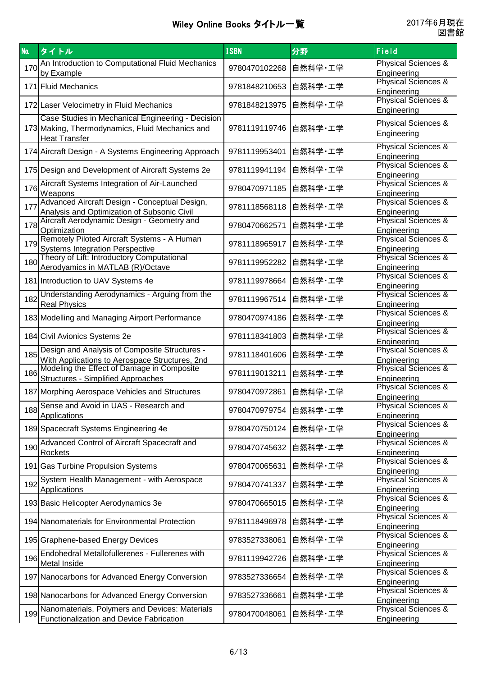| <b>No.</b> | タイトル                                                                                         | <b>ISBN</b>   | 分野      | Field                                         |
|------------|----------------------------------------------------------------------------------------------|---------------|---------|-----------------------------------------------|
| 170        | An Introduction to Computational Fluid Mechanics                                             | 9780470102268 | 自然科学·工学 | <b>Physical Sciences &amp;</b>                |
|            | by Example                                                                                   |               |         | Engineering<br><b>Physical Sciences &amp;</b> |
|            | 171 Fluid Mechanics                                                                          | 9781848210653 | 自然科学·工学 | Engineering                                   |
|            | 172 Laser Velocimetry in Fluid Mechanics                                                     | 9781848213975 | 自然科学・工学 | <b>Physical Sciences &amp;</b><br>Engineering |
|            | Case Studies in Mechanical Engineering - Decision                                            |               |         | <b>Physical Sciences &amp;</b>                |
|            | 173 Making, Thermodynamics, Fluid Mechanics and                                              | 9781119119746 | 自然科学・工学 | Engineering                                   |
|            | <b>Heat Transfer</b>                                                                         |               |         | <b>Physical Sciences &amp;</b>                |
|            | 174 Aircraft Design - A Systems Engineering Approach                                         | 9781119953401 | 自然科学・工学 | Engineering                                   |
|            | 175 Design and Development of Aircraft Systems 2e                                            | 9781119941194 | 自然科学·工学 | <b>Physical Sciences &amp;</b><br>Engineering |
| 176        | Aircraft Systems Integration of Air-Launched                                                 |               |         | <b>Physical Sciences &amp;</b>                |
|            | Weapons                                                                                      | 9780470971185 | 自然科学・工学 | Engineering                                   |
| 177        | Advanced Aircraft Design - Conceptual Design,<br>Analysis and Optimization of Subsonic Civil | 9781118568118 | 自然科学・工学 | <b>Physical Sciences &amp;</b><br>Engineering |
|            | 178 Aircraft Aerodynamic Design - Geometry and                                               | 9780470662571 | 自然科学・工学 | <b>Physical Sciences &amp;</b>                |
|            | Optimization<br>Remotely Piloted Aircraft Systems - A Human                                  |               |         | Engineering<br><b>Physical Sciences &amp;</b> |
| 179        | <b>Systems Integration Perspective</b>                                                       | 9781118965917 | 自然科学・工学 | Engineering                                   |
| 180        | Theory of Lift: Introductory Computational                                                   | 9781119952282 | 自然科学・工学 | <b>Physical Sciences &amp;</b>                |
|            | Aerodyamics in MATLAB (R)/Octave                                                             |               |         | Engineering<br>Physical Sciences &            |
|            | 181 Introduction to UAV Systems 4e                                                           | 9781119978664 | 自然科学・工学 | Engineering                                   |
| 182        | Understanding Aerodynamics - Arguing from the                                                | 9781119967514 | 自然科学・工学 | <b>Physical Sciences &amp;</b>                |
|            | <b>Real Physics</b>                                                                          |               |         | Engineering<br><b>Physical Sciences &amp;</b> |
|            | 183 Modelling and Managing Airport Performance                                               | 9780470974186 | 自然科学・工学 | Engineering                                   |
|            | 184 Civil Avionics Systems 2e                                                                | 9781118341803 | 自然科学・工学 | <b>Physical Sciences &amp;</b><br>Engineering |
| 185        | Design and Analysis of Composite Structures -                                                | 9781118401606 | 自然科学・工学 | <b>Physical Sciences &amp;</b>                |
|            | With Applications to Aerospace Structures, 2nd                                               |               |         | Engineering                                   |
| 186        | Modeling the Effect of Damage in Composite<br><b>Structures - Simplified Approaches</b>      | 9781119013211 | 自然科学・工学 | <b>Physical Sciences &amp;</b><br>Engineering |
|            | 187 Morphing Aerospace Vehicles and Structures                                               | 9780470972861 | 自然科学・工学 | <b>Physical Sciences &amp;</b>                |
|            | Sense and Avoid in UAS - Research and                                                        |               |         | Engineering<br><b>Physical Sciences &amp;</b> |
| 188        | Applications                                                                                 | 9780470979754 | 自然科学・工学 | Engineering                                   |
|            | 189 Spacecraft Systems Engineering 4e                                                        | 9780470750124 | 自然科学・工学 | <b>Physical Sciences &amp;</b>                |
|            | Advanced Control of Aircraft Spacecraft and                                                  |               |         | Engineering<br><b>Physical Sciences &amp;</b> |
| 190        | Rockets                                                                                      | 9780470745632 | 自然科学・工学 | Engineering                                   |
|            | 191 Gas Turbine Propulsion Systems                                                           | 9780470065631 | 自然科学・工学 | <b>Physical Sciences &amp;</b><br>Engineering |
| 192        | System Health Management - with Aerospace                                                    | 9780470741337 | 自然科学・工学 | <b>Physical Sciences &amp;</b>                |
|            | Applications                                                                                 |               |         | Engineering                                   |
|            | 193 Basic Helicopter Aerodynamics 3e                                                         | 9780470665015 | 自然科学·工学 | <b>Physical Sciences &amp;</b><br>Engineering |
|            | 194 Nanomaterials for Environmental Protection                                               | 9781118496978 | 自然科学·工学 | <b>Physical Sciences &amp;</b>                |
|            |                                                                                              |               |         | Engineering<br>Physical Sciences &            |
|            | 195 Graphene-based Energy Devices                                                            | 9783527338061 | 自然科学・工学 | Engineering                                   |
| 196        | Endohedral Metallofullerenes - Fullerenes with                                               | 9781119942726 | 自然科学·工学 | <b>Physical Sciences &amp;</b>                |
|            | Metal Inside                                                                                 |               |         | Engineering<br><b>Physical Sciences &amp;</b> |
|            | 197 Nanocarbons for Advanced Energy Conversion                                               | 9783527336654 | 自然科学·工学 | Engineering                                   |
|            | 198 Nanocarbons for Advanced Energy Conversion                                               | 9783527336661 | 自然科学・工学 | <b>Physical Sciences &amp;</b><br>Engineering |
| 199        | Nanomaterials, Polymers and Devices: Materials                                               |               |         | <b>Physical Sciences &amp;</b>                |
|            | Functionalization and Device Fabrication                                                     | 9780470048061 | 自然科学・工学 | Engineering                                   |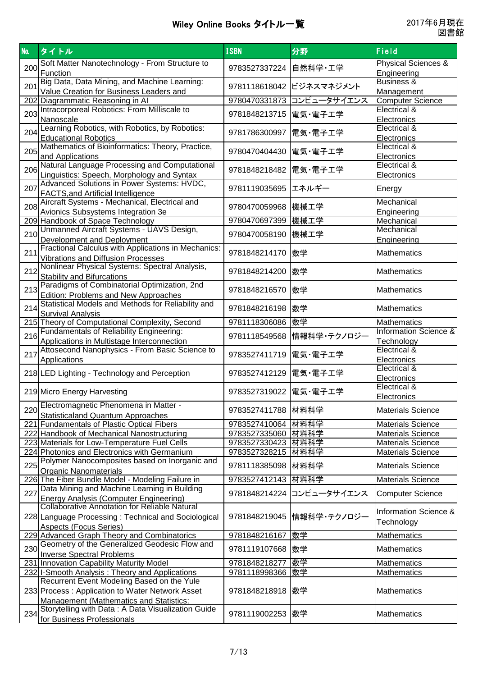| <b>No.</b> | タイトル                                                                                         | <b>ISBN</b>             | 分野                        | Field                                                  |
|------------|----------------------------------------------------------------------------------------------|-------------------------|---------------------------|--------------------------------------------------------|
|            | Soft Matter Nanotechnology - From Structure to                                               |                         |                           | <b>Physical Sciences &amp;</b>                         |
| 200        | Function                                                                                     | 9783527337224           | 自然科学·工学                   | Engineering                                            |
| 201        | Big Data, Data Mining, and Machine Learning:<br>Value Creation for Business Leaders and      |                         | 9781118618042 ビジネスマネジメント  | Business &<br>Management                               |
|            | 202 Diagrammatic Reasoning in Al                                                             | 9780470331873           | コンピュータサイエンス               | <b>Computer Science</b>                                |
|            | Intracorporeal Robotics: From Milliscale to                                                  |                         |                           | Electrical &                                           |
| 203        | Nanoscale                                                                                    | 9781848213715           | 電気・電子工学                   | Electronics                                            |
|            | Learning Robotics, with Robotics, by Robotics:                                               |                         |                           | Electrical &                                           |
| 204        | <b>Educational Robotics</b>                                                                  | 9781786300997           | 電気・電子工学                   | Electronics                                            |
| 205        | Mathematics of Bioinformatics: Theory, Practice,                                             | 9780470404430           | 電気・電子工学                   | Electrical &                                           |
|            | and Applications                                                                             |                         |                           | Electronics                                            |
| 206        | Natural Language Processing and Computational                                                | 9781848218482           | 電気・電子工学                   | Electrical &                                           |
|            | Linguistics: Speech, Morphology and Syntax                                                   |                         |                           | Electronics                                            |
| 207        | Advanced Solutions in Power Systems: HVDC,                                                   | 9781119035695           | エネルギー                     | Energy                                                 |
|            | <b>FACTS, and Artificial Intelligence</b><br>Aircraft Systems - Mechanical, Electrical and   |                         |                           | Mechanical                                             |
| 208        | Avionics Subsystems Integration 3e                                                           | 9780470059968 機械工学      |                           | Engineering                                            |
|            | 209 Handbook of Space Technology                                                             | 9780470697399 機械工学      |                           | Mechanical                                             |
|            | Unmanned Aircraft Systems - UAVS Design,                                                     |                         |                           | Mechanical                                             |
| 210        | Development and Deployment                                                                   | 9780470058190           | 機械工学                      | Engineering                                            |
|            | Fractional Calculus with Applications in Mechanics:                                          |                         |                           |                                                        |
| 211        | <b>Vibrations and Diffusion Processes</b>                                                    | 9781848214170           | 数学                        | <b>Mathematics</b>                                     |
| 212        | Nonlinear Physical Systems: Spectral Analysis,                                               | 9781848214200           | 数学                        | <b>Mathematics</b>                                     |
|            | <b>Stability and Bifurcations</b>                                                            |                         |                           |                                                        |
| 213        | Paradigms of Combinatorial Optimization, 2nd                                                 | 9781848216570           | 数学                        | <b>Mathematics</b>                                     |
|            | Edition: Problems and New Approaches                                                         |                         |                           |                                                        |
| 214        | Statistical Models and Methods for Reliability and                                           | 9781848216198           | 数学                        | <b>Mathematics</b>                                     |
|            | <b>Survival Analysis</b>                                                                     |                         |                           |                                                        |
|            | 215 Theory of Computational Complexity, Second                                               | 9781118306086 数学        |                           | <b>Mathematics</b><br><b>Information Science &amp;</b> |
| 216        | Fundamentals of Reliability Engineering:                                                     |                         | 9781118549568 情報科学・テクノロジー |                                                        |
|            | Applications in Multistage Interconnection<br>Attosecond Nanophysics - From Basic Science to |                         |                           | Technology<br>Electrical &                             |
| 217        | Applications                                                                                 | 9783527411719   電気·電子工学 |                           | Electronics                                            |
|            |                                                                                              |                         |                           | Electrical &                                           |
|            | 218 LED Lighting - Technology and Perception                                                 | 9783527412129           | 電気・電子工学                   | Electronics                                            |
|            |                                                                                              |                         |                           | Electrical &                                           |
|            | 219 Micro Energy Harvesting                                                                  | 9783527319022  電気・電子工学  |                           | Electronics                                            |
| 220        | Electromagnetic Phenomena in Matter -                                                        | 9783527411788 材料科学      |                           | <b>Materials Science</b>                               |
|            | <b>Statisticaland Quantum Approaches</b>                                                     |                         |                           |                                                        |
|            | 221 Fundamentals of Plastic Optical Fibers                                                   | 9783527410064 材料科学      |                           | <b>Materials Science</b>                               |
|            | 222 Handbook of Mechanical Nanostructuring                                                   | 9783527335060 材料科学      |                           | <b>Materials Science</b>                               |
|            | 223 Materials for Low-Temperature Fuel Cells                                                 | 9783527330423 材料科学      |                           | <b>Materials Science</b>                               |
|            | 224 Photonics and Electronics with Germanium                                                 | 9783527328215 材料科学      |                           | <b>Materials Science</b>                               |
| 225        | Polymer Nanocomposites based on Inorganic and                                                | 9781118385098           | 材料科学                      | <b>Materials Science</b>                               |
|            | <b>Organic Nanomaterials</b><br>226 The Fiber Bundle Model - Modeling Failure in             | 9783527412143 材料科学      |                           | <b>Materials Science</b>                               |
|            | Data Mining and Machine Learning in Building                                                 |                         |                           |                                                        |
| 227        |                                                                                              | 9781848214224           | コンピュータサイエンス               | <b>Computer Science</b>                                |
|            | Energy Analysis (Computer Engineering)<br>Collaborative Annotation for Reliable Natural      |                         |                           |                                                        |
|            | 228 Language Processing: Technical and Sociological                                          |                         | 9781848219045 情報科学・テクノロジー | <b>Information Science &amp;</b>                       |
|            | <b>Aspects (Focus Series)</b>                                                                |                         |                           | Technology                                             |
|            | 229 Advanced Graph Theory and Combinatorics                                                  | 9781848216167  数学       |                           | <b>Mathematics</b>                                     |
| 230        | Geometry of the Generalized Geodesic Flow and                                                | 9781119107668  数学       |                           | <b>Mathematics</b>                                     |
|            | <b>Inverse Spectral Problems</b>                                                             |                         |                           |                                                        |
|            | 231 Innovation Capability Maturity Model                                                     | 9781848218277           | 数学                        | Mathematics                                            |
|            | 232 I-Smooth Analysis: Theory and Applications                                               | 9781118998366           | 数学                        | Mathematics                                            |
|            | Recurrent Event Modeling Based on the Yule                                                   |                         |                           |                                                        |
|            | 233 Process: Application to Water Network Asset                                              | 9781848218918           | Ⅰ数学                       | <b>Mathematics</b>                                     |
|            | Management (Mathematics and Statistics:                                                      |                         |                           |                                                        |
| 234        | Storytelling with Data: A Data Visualization Guide                                           | 9781119002253 数学        |                           | <b>Mathematics</b>                                     |
|            | for Business Professionals                                                                   |                         |                           |                                                        |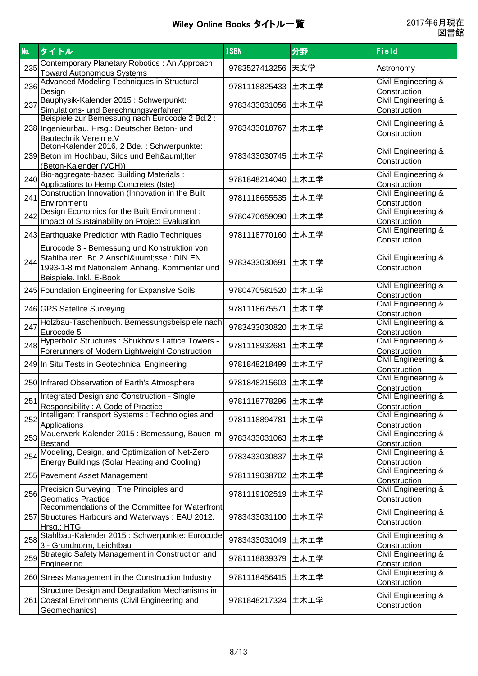| No. | タイトル                                                                                                                                                             | <b>ISBN</b>         | 分野   | Field                                          |
|-----|------------------------------------------------------------------------------------------------------------------------------------------------------------------|---------------------|------|------------------------------------------------|
| 235 | Contemporary Planetary Robotics: An Approach<br><b>Toward Autonomous Systems</b>                                                                                 | 9783527413256 天文学   |      | Astronomy                                      |
| 236 | Advanced Modeling Techniques in Structural<br>Design                                                                                                             | 9781118825433 土木工学  |      | <b>Civil Engineering &amp;</b><br>Construction |
| 237 | Bauphysik-Kalender 2015 : Schwerpunkt:<br>Simulations- und Berechnungsverfahren                                                                                  | 9783433031056 土木工学  |      | <b>Civil Engineering &amp;</b><br>Construction |
|     | Beispiele zur Bemessung nach Eurocode 2 Bd.2 :<br>238 Ingenieurbau. Hrsg.: Deutscher Beton- und<br>Bautechnik Verein e.V                                         | 9783433018767       | 土木工学 | Civil Engineering &<br>Construction            |
|     | Beton-Kalender 2016, 2 Bde. : Schwerpunkte:<br>239 Beton im Hochbau, Silos und Behä Iter<br>(Beton-Kalender (VCH))                                               | 9783433030745 土木工学  |      | Civil Engineering &<br>Construction            |
| 240 | Bio-aggregate-based Building Materials:<br>Applications to Hemp Concretes (Iste)                                                                                 | 9781848214040 土木工学  |      | Civil Engineering &<br>Construction            |
| 241 | Construction Innovation (Innovation in the Built<br>Environment)                                                                                                 | 9781118655535 土木工学  |      | <b>Civil Engineering &amp;</b><br>Construction |
| 242 | Design Economics for the Built Environment :<br>Impact of Sustainability on Project Evaluation                                                                   | 9780470659090 土木工学  |      | <b>Civil Engineering &amp;</b><br>Construction |
|     | 243 Earthquake Prediction with Radio Techniques                                                                                                                  | 9781118770160 土木工学  |      | <b>Civil Engineering &amp;</b><br>Construction |
| 244 | Eurocode 3 - Bemessung und Konstruktion von<br>Stahlbauten. Bd.2 Anschlüsse : DIN EN<br>1993-1-8 mit Nationalem Anhang. Kommentar und<br>Beispiele. Inkl. E-Book | 9783433030691 土木工学  |      | Civil Engineering &<br>Construction            |
|     | 245 Foundation Engineering for Expansive Soils                                                                                                                   | 9780470581520       | 土木工学 | Civil Engineering &<br>Construction            |
|     | 246 GPS Satellite Surveying                                                                                                                                      | 9781118675571       | 土木工学 | Civil Engineering &<br>Construction            |
| 247 | Holzbau-Taschenbuch. Bemessungsbeispiele nach<br>Eurocode 5                                                                                                      | 9783433030820 土木工学  |      | Civil Engineering &<br>Construction            |
| 248 | Hyperbolic Structures : Shukhov's Lattice Towers -<br>Forerunners of Modern Lightweight Construction                                                             | 9781118932681 土木工学  |      | <b>Civil Engineering &amp;</b><br>Construction |
|     | 249 In Situ Tests in Geotechnical Engineering                                                                                                                    | 9781848218499       | 土木工学 | Civil Engineering &<br>Construction            |
|     | 250 Infrared Observation of Earth's Atmosphere                                                                                                                   | 9781848215603 土木工学  |      | Civil Engineering &<br>Construction            |
| 251 | Integrated Design and Construction - Single<br>Responsibility: A Code of Practice                                                                                | 9781118778296  土木工学 |      | Civil Engineering &<br>Construction            |
| 252 | Intelligent Transport Systems: Technologies and<br>Applications                                                                                                  | 9781118894781       | 土木工学 | Civil Engineering &<br>Construction            |
| 253 | Mauerwerk-Kalender 2015 : Bemessung, Bauen im<br>Bestand                                                                                                         | 9783433031063 土木工学  |      | Civil Engineering &<br>Construction            |
| 254 | Modeling, Design, and Optimization of Net-Zero<br>Energy Buildings (Solar Heating and Cooling)                                                                   | 9783433030837       | 土木工学 | <b>Civil Engineering &amp;</b><br>Construction |
|     | 255 Pavement Asset Management                                                                                                                                    | 9781119038702 土木工学  |      | <b>Civil Engineering &amp;</b><br>Construction |
| 256 | Precision Surveying : The Principles and<br><b>Geomatics Practice</b>                                                                                            | 9781119102519 土木工学  |      | <b>Civil Engineering &amp;</b><br>Construction |
|     | Recommendations of the Committee for Waterfront<br>257 Structures Harbours and Waterways: EAU 2012.<br>Hrsg.: HTG                                                | 9783433031100       | 土木工学 | Civil Engineering &<br>Construction            |
| 258 | Stahlbau-Kalender 2015 : Schwerpunkte: Eurocode<br>3 - Grundnorm, Leichtbau                                                                                      | 9783433031049 土木工学  |      | Civil Engineering &<br>Construction            |
| 259 | Strategic Safety Management in Construction and<br>Engineering                                                                                                   | 9781118839379 土木工学  |      | Civil Engineering &<br>Construction            |
|     | 260 Stress Management in the Construction Industry                                                                                                               | 9781118456415 土木工学  |      | <b>Civil Engineering &amp;</b><br>Construction |
|     | Structure Design and Degradation Mechanisms in<br>261 Coastal Environments (Civil Engineering and<br>Geomechanics)                                               | 9781848217324  土木工学 |      | Civil Engineering &<br>Construction            |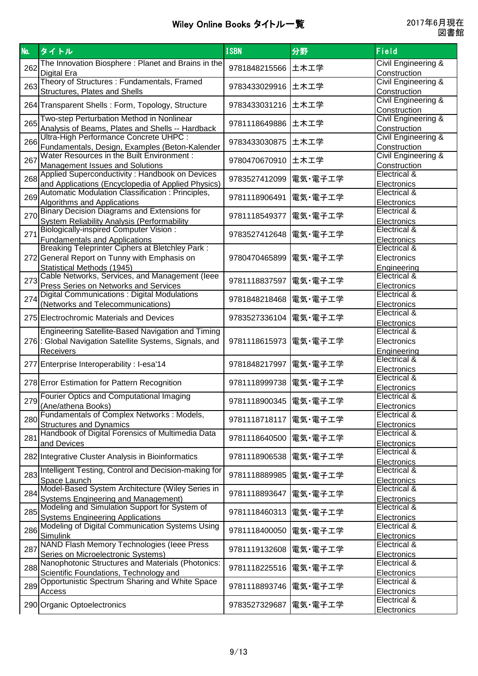| The Innovation Biosphere: Planet and Brains in the<br>Civil Engineering &<br>262<br>土木工学<br>9781848215566<br><b>Digital Era</b><br>Construction<br>Theory of Structures : Fundamentals, Framed<br>Civil Engineering &<br>263<br>9783433029916<br>土木工学<br>Structures, Plates and Shells<br>Construction<br><b>Civil Engineering &amp;</b><br>9783433031216<br>264 Transparent Shells: Form, Topology, Structure<br>土木工学<br>Construction<br>Two-step Perturbation Method in Nonlinear<br>Civil Engineering &<br>265<br>9781118649886<br>土木工学<br>Analysis of Beams, Plates and Shells -- Hardback<br>Construction<br>Ultra-High Performance Concrete UHPC :<br><b>Civil Engineering &amp;</b><br>266<br>9783433030875<br>土木工学<br>Fundamentals, Design, Examples (Beton-Kalender<br>Construction<br>Water Resources in the Built Environment :<br><b>Civil Engineering &amp;</b><br>267<br>9780470670910<br>土木工学<br><b>Management Issues and Solutions</b><br>Construction<br>Applied Superconductivity: Handbook on Devices<br>Electrical &<br>268<br>9783527412099<br>電気・電子工学<br>and Applications (Encyclopedia of Applied Physics)<br>Electronics<br>Automatic Modulation Classification: Principles,<br>Electrical &<br>269<br>電気・電子工学<br>9781118906491<br><b>Algorithms and Applications</b><br>Electronics<br><b>Binary Decision Diagrams and Extensions for</b><br>Electrical &<br>270<br>9781118549377<br>電気・電子工学<br>Electronics<br>System Reliability Analysis (Performability<br><b>Biologically-inspired Computer Vision:</b><br>Electrical &<br>271<br>9783527412648<br>電気・電子工学<br><b>Fundamentals and Applications</b><br>Electronics<br><b>Breaking Teleprinter Ciphers at Bletchley Park:</b><br>Electrical &<br>272 General Report on Tunny with Emphasis on<br>電気・電子工学<br>9780470465899<br>Electronics<br>Statistical Methods (1945)<br><b>Engineering</b><br>Cable Networks, Services, and Management (leee<br>Electrical &<br>273<br>9781118837597<br>電気・電子工学<br><b>Press Series on Networks and Services</b><br>Electronics<br>Digital Communications: Digital Modulations<br>Electrical &<br>274<br>9781848218468<br>電気・電子工学<br>(Networks and Telecommunications)<br>Electronics<br>Electrical &<br>電気・電子工学<br>275 Electrochromic Materials and Devices<br>9783527336104<br>Electronics<br>Engineering Satellite-Based Navigation and Timing<br>Electrical &<br>276: Global Navigation Satellite Systems, Signals, and<br>9781118615973<br>電気・電子工学<br>Electronics<br>Engineering<br>Receivers<br>Electrical &<br>電気・電子工学<br>277 Enterprise Interoperability: I-esa'14<br>9781848217997<br>Electronics<br>Electrical &<br>9781118999738<br>電気・電子工学<br>278 Error Estimation for Pattern Recognition<br>Electronics<br>Fourier Optics and Computational Imaging<br>Electrical &<br>9781118900345 電気・電子工学<br>2791<br>(Ane/athena Books)<br>Electronics<br>Fundamentals of Complex Networks : Models,<br>Electrical &<br>280<br>9781118718117  電気・電子工学<br><b>Structures and Dynamics</b><br>Electronics<br>Handbook of Digital Forensics of Multimedia Data<br>Electrical &<br>281<br>9781118640500<br>電気・電子工学<br>and Devices<br>Electronics<br>Electrical &<br>電気・電子工学<br>282 Integrative Cluster Analysis in Bioinformatics<br>9781118906538<br>Electronics<br>Intelligent Testing, Control and Decision-making for<br>Electrical &<br>283<br>9781118889985<br>電気・電子工学<br>Space Launch<br>Electronics<br>Model-Based System Architecture (Wiley Series in<br>Electrical &<br>284<br>電気・電子工学<br>9781118893647<br>Systems Engineering and Management)<br>Electronics<br>Modeling and Simulation Support for System of<br>Electrical &<br>285<br>9781118460313<br>電気・電子工学<br><b>Systems Engineering Applications</b><br>Electronics<br>Modeling of Digital Communication Systems Using<br>Electrical &<br>286<br>電気・電子工学<br>9781118400050<br>Simulink<br>Electronics<br>NAND Flash Memory Technologies (leee Press<br>Electrical &<br>287<br>9781119132608<br>電気・電子工学<br>Series on Microelectronic Systems)<br>Electronics<br>Nanophotonic Structures and Materials (Photonics:<br>Electrical &<br>288<br>9781118225516<br>電気・電子工学<br>Scientific Foundations, Technology and<br>Electronics<br>Opportunistic Spectrum Sharing and White Space<br>Electrical &<br>289<br>9781118893746<br>電気・電子工学<br>Access<br>Electronics<br>Electrical & | No. | タイトル                        | <b>ISBN</b>   | 分野      | Field       |
|------------------------------------------------------------------------------------------------------------------------------------------------------------------------------------------------------------------------------------------------------------------------------------------------------------------------------------------------------------------------------------------------------------------------------------------------------------------------------------------------------------------------------------------------------------------------------------------------------------------------------------------------------------------------------------------------------------------------------------------------------------------------------------------------------------------------------------------------------------------------------------------------------------------------------------------------------------------------------------------------------------------------------------------------------------------------------------------------------------------------------------------------------------------------------------------------------------------------------------------------------------------------------------------------------------------------------------------------------------------------------------------------------------------------------------------------------------------------------------------------------------------------------------------------------------------------------------------------------------------------------------------------------------------------------------------------------------------------------------------------------------------------------------------------------------------------------------------------------------------------------------------------------------------------------------------------------------------------------------------------------------------------------------------------------------------------------------------------------------------------------------------------------------------------------------------------------------------------------------------------------------------------------------------------------------------------------------------------------------------------------------------------------------------------------------------------------------------------------------------------------------------------------------------------------------------------------------------------------------------------------------------------------------------------------------------------------------------------------------------------------------------------------------------------------------------------------------------------------------------------------------------------------------------------------------------------------------------------------------------------------------------------------------------------------------------------------------------------------------------------------------------------------------------------------------------------------------------------------------------------------------------------------------------------------------------------------------------------------------------------------------------------------------------------------------------------------------------------------------------------------------------------------------------------------------------------------------------------------------------------------------------------------------------------------------------------------------------------------------------------------------------------------------------------------------------------------------------------------------------------------------------------------------------------------------------------------------------------------------------------------------------------------------------------------------------------------------------------------------------------------------------------------------------------------------------------------------------------------------------------------------------------------------------------------------------------------------------------------|-----|-----------------------------|---------------|---------|-------------|
|                                                                                                                                                                                                                                                                                                                                                                                                                                                                                                                                                                                                                                                                                                                                                                                                                                                                                                                                                                                                                                                                                                                                                                                                                                                                                                                                                                                                                                                                                                                                                                                                                                                                                                                                                                                                                                                                                                                                                                                                                                                                                                                                                                                                                                                                                                                                                                                                                                                                                                                                                                                                                                                                                                                                                                                                                                                                                                                                                                                                                                                                                                                                                                                                                                                                                                                                                                                                                                                                                                                                                                                                                                                                                                                                                                                                                                                                                                                                                                                                                                                                                                                                                                                                                                                                                                                                                      |     |                             |               |         |             |
|                                                                                                                                                                                                                                                                                                                                                                                                                                                                                                                                                                                                                                                                                                                                                                                                                                                                                                                                                                                                                                                                                                                                                                                                                                                                                                                                                                                                                                                                                                                                                                                                                                                                                                                                                                                                                                                                                                                                                                                                                                                                                                                                                                                                                                                                                                                                                                                                                                                                                                                                                                                                                                                                                                                                                                                                                                                                                                                                                                                                                                                                                                                                                                                                                                                                                                                                                                                                                                                                                                                                                                                                                                                                                                                                                                                                                                                                                                                                                                                                                                                                                                                                                                                                                                                                                                                                                      |     |                             |               |         |             |
|                                                                                                                                                                                                                                                                                                                                                                                                                                                                                                                                                                                                                                                                                                                                                                                                                                                                                                                                                                                                                                                                                                                                                                                                                                                                                                                                                                                                                                                                                                                                                                                                                                                                                                                                                                                                                                                                                                                                                                                                                                                                                                                                                                                                                                                                                                                                                                                                                                                                                                                                                                                                                                                                                                                                                                                                                                                                                                                                                                                                                                                                                                                                                                                                                                                                                                                                                                                                                                                                                                                                                                                                                                                                                                                                                                                                                                                                                                                                                                                                                                                                                                                                                                                                                                                                                                                                                      |     |                             |               |         |             |
|                                                                                                                                                                                                                                                                                                                                                                                                                                                                                                                                                                                                                                                                                                                                                                                                                                                                                                                                                                                                                                                                                                                                                                                                                                                                                                                                                                                                                                                                                                                                                                                                                                                                                                                                                                                                                                                                                                                                                                                                                                                                                                                                                                                                                                                                                                                                                                                                                                                                                                                                                                                                                                                                                                                                                                                                                                                                                                                                                                                                                                                                                                                                                                                                                                                                                                                                                                                                                                                                                                                                                                                                                                                                                                                                                                                                                                                                                                                                                                                                                                                                                                                                                                                                                                                                                                                                                      |     |                             |               |         |             |
|                                                                                                                                                                                                                                                                                                                                                                                                                                                                                                                                                                                                                                                                                                                                                                                                                                                                                                                                                                                                                                                                                                                                                                                                                                                                                                                                                                                                                                                                                                                                                                                                                                                                                                                                                                                                                                                                                                                                                                                                                                                                                                                                                                                                                                                                                                                                                                                                                                                                                                                                                                                                                                                                                                                                                                                                                                                                                                                                                                                                                                                                                                                                                                                                                                                                                                                                                                                                                                                                                                                                                                                                                                                                                                                                                                                                                                                                                                                                                                                                                                                                                                                                                                                                                                                                                                                                                      |     |                             |               |         |             |
|                                                                                                                                                                                                                                                                                                                                                                                                                                                                                                                                                                                                                                                                                                                                                                                                                                                                                                                                                                                                                                                                                                                                                                                                                                                                                                                                                                                                                                                                                                                                                                                                                                                                                                                                                                                                                                                                                                                                                                                                                                                                                                                                                                                                                                                                                                                                                                                                                                                                                                                                                                                                                                                                                                                                                                                                                                                                                                                                                                                                                                                                                                                                                                                                                                                                                                                                                                                                                                                                                                                                                                                                                                                                                                                                                                                                                                                                                                                                                                                                                                                                                                                                                                                                                                                                                                                                                      |     |                             |               |         |             |
|                                                                                                                                                                                                                                                                                                                                                                                                                                                                                                                                                                                                                                                                                                                                                                                                                                                                                                                                                                                                                                                                                                                                                                                                                                                                                                                                                                                                                                                                                                                                                                                                                                                                                                                                                                                                                                                                                                                                                                                                                                                                                                                                                                                                                                                                                                                                                                                                                                                                                                                                                                                                                                                                                                                                                                                                                                                                                                                                                                                                                                                                                                                                                                                                                                                                                                                                                                                                                                                                                                                                                                                                                                                                                                                                                                                                                                                                                                                                                                                                                                                                                                                                                                                                                                                                                                                                                      |     |                             |               |         |             |
|                                                                                                                                                                                                                                                                                                                                                                                                                                                                                                                                                                                                                                                                                                                                                                                                                                                                                                                                                                                                                                                                                                                                                                                                                                                                                                                                                                                                                                                                                                                                                                                                                                                                                                                                                                                                                                                                                                                                                                                                                                                                                                                                                                                                                                                                                                                                                                                                                                                                                                                                                                                                                                                                                                                                                                                                                                                                                                                                                                                                                                                                                                                                                                                                                                                                                                                                                                                                                                                                                                                                                                                                                                                                                                                                                                                                                                                                                                                                                                                                                                                                                                                                                                                                                                                                                                                                                      |     |                             |               |         |             |
|                                                                                                                                                                                                                                                                                                                                                                                                                                                                                                                                                                                                                                                                                                                                                                                                                                                                                                                                                                                                                                                                                                                                                                                                                                                                                                                                                                                                                                                                                                                                                                                                                                                                                                                                                                                                                                                                                                                                                                                                                                                                                                                                                                                                                                                                                                                                                                                                                                                                                                                                                                                                                                                                                                                                                                                                                                                                                                                                                                                                                                                                                                                                                                                                                                                                                                                                                                                                                                                                                                                                                                                                                                                                                                                                                                                                                                                                                                                                                                                                                                                                                                                                                                                                                                                                                                                                                      |     |                             |               |         |             |
|                                                                                                                                                                                                                                                                                                                                                                                                                                                                                                                                                                                                                                                                                                                                                                                                                                                                                                                                                                                                                                                                                                                                                                                                                                                                                                                                                                                                                                                                                                                                                                                                                                                                                                                                                                                                                                                                                                                                                                                                                                                                                                                                                                                                                                                                                                                                                                                                                                                                                                                                                                                                                                                                                                                                                                                                                                                                                                                                                                                                                                                                                                                                                                                                                                                                                                                                                                                                                                                                                                                                                                                                                                                                                                                                                                                                                                                                                                                                                                                                                                                                                                                                                                                                                                                                                                                                                      |     |                             |               |         |             |
|                                                                                                                                                                                                                                                                                                                                                                                                                                                                                                                                                                                                                                                                                                                                                                                                                                                                                                                                                                                                                                                                                                                                                                                                                                                                                                                                                                                                                                                                                                                                                                                                                                                                                                                                                                                                                                                                                                                                                                                                                                                                                                                                                                                                                                                                                                                                                                                                                                                                                                                                                                                                                                                                                                                                                                                                                                                                                                                                                                                                                                                                                                                                                                                                                                                                                                                                                                                                                                                                                                                                                                                                                                                                                                                                                                                                                                                                                                                                                                                                                                                                                                                                                                                                                                                                                                                                                      |     |                             |               |         |             |
|                                                                                                                                                                                                                                                                                                                                                                                                                                                                                                                                                                                                                                                                                                                                                                                                                                                                                                                                                                                                                                                                                                                                                                                                                                                                                                                                                                                                                                                                                                                                                                                                                                                                                                                                                                                                                                                                                                                                                                                                                                                                                                                                                                                                                                                                                                                                                                                                                                                                                                                                                                                                                                                                                                                                                                                                                                                                                                                                                                                                                                                                                                                                                                                                                                                                                                                                                                                                                                                                                                                                                                                                                                                                                                                                                                                                                                                                                                                                                                                                                                                                                                                                                                                                                                                                                                                                                      |     |                             |               |         |             |
|                                                                                                                                                                                                                                                                                                                                                                                                                                                                                                                                                                                                                                                                                                                                                                                                                                                                                                                                                                                                                                                                                                                                                                                                                                                                                                                                                                                                                                                                                                                                                                                                                                                                                                                                                                                                                                                                                                                                                                                                                                                                                                                                                                                                                                                                                                                                                                                                                                                                                                                                                                                                                                                                                                                                                                                                                                                                                                                                                                                                                                                                                                                                                                                                                                                                                                                                                                                                                                                                                                                                                                                                                                                                                                                                                                                                                                                                                                                                                                                                                                                                                                                                                                                                                                                                                                                                                      |     |                             |               |         |             |
|                                                                                                                                                                                                                                                                                                                                                                                                                                                                                                                                                                                                                                                                                                                                                                                                                                                                                                                                                                                                                                                                                                                                                                                                                                                                                                                                                                                                                                                                                                                                                                                                                                                                                                                                                                                                                                                                                                                                                                                                                                                                                                                                                                                                                                                                                                                                                                                                                                                                                                                                                                                                                                                                                                                                                                                                                                                                                                                                                                                                                                                                                                                                                                                                                                                                                                                                                                                                                                                                                                                                                                                                                                                                                                                                                                                                                                                                                                                                                                                                                                                                                                                                                                                                                                                                                                                                                      |     |                             |               |         |             |
|                                                                                                                                                                                                                                                                                                                                                                                                                                                                                                                                                                                                                                                                                                                                                                                                                                                                                                                                                                                                                                                                                                                                                                                                                                                                                                                                                                                                                                                                                                                                                                                                                                                                                                                                                                                                                                                                                                                                                                                                                                                                                                                                                                                                                                                                                                                                                                                                                                                                                                                                                                                                                                                                                                                                                                                                                                                                                                                                                                                                                                                                                                                                                                                                                                                                                                                                                                                                                                                                                                                                                                                                                                                                                                                                                                                                                                                                                                                                                                                                                                                                                                                                                                                                                                                                                                                                                      |     |                             |               |         |             |
|                                                                                                                                                                                                                                                                                                                                                                                                                                                                                                                                                                                                                                                                                                                                                                                                                                                                                                                                                                                                                                                                                                                                                                                                                                                                                                                                                                                                                                                                                                                                                                                                                                                                                                                                                                                                                                                                                                                                                                                                                                                                                                                                                                                                                                                                                                                                                                                                                                                                                                                                                                                                                                                                                                                                                                                                                                                                                                                                                                                                                                                                                                                                                                                                                                                                                                                                                                                                                                                                                                                                                                                                                                                                                                                                                                                                                                                                                                                                                                                                                                                                                                                                                                                                                                                                                                                                                      |     |                             |               |         |             |
|                                                                                                                                                                                                                                                                                                                                                                                                                                                                                                                                                                                                                                                                                                                                                                                                                                                                                                                                                                                                                                                                                                                                                                                                                                                                                                                                                                                                                                                                                                                                                                                                                                                                                                                                                                                                                                                                                                                                                                                                                                                                                                                                                                                                                                                                                                                                                                                                                                                                                                                                                                                                                                                                                                                                                                                                                                                                                                                                                                                                                                                                                                                                                                                                                                                                                                                                                                                                                                                                                                                                                                                                                                                                                                                                                                                                                                                                                                                                                                                                                                                                                                                                                                                                                                                                                                                                                      |     |                             |               |         |             |
|                                                                                                                                                                                                                                                                                                                                                                                                                                                                                                                                                                                                                                                                                                                                                                                                                                                                                                                                                                                                                                                                                                                                                                                                                                                                                                                                                                                                                                                                                                                                                                                                                                                                                                                                                                                                                                                                                                                                                                                                                                                                                                                                                                                                                                                                                                                                                                                                                                                                                                                                                                                                                                                                                                                                                                                                                                                                                                                                                                                                                                                                                                                                                                                                                                                                                                                                                                                                                                                                                                                                                                                                                                                                                                                                                                                                                                                                                                                                                                                                                                                                                                                                                                                                                                                                                                                                                      |     |                             |               |         |             |
|                                                                                                                                                                                                                                                                                                                                                                                                                                                                                                                                                                                                                                                                                                                                                                                                                                                                                                                                                                                                                                                                                                                                                                                                                                                                                                                                                                                                                                                                                                                                                                                                                                                                                                                                                                                                                                                                                                                                                                                                                                                                                                                                                                                                                                                                                                                                                                                                                                                                                                                                                                                                                                                                                                                                                                                                                                                                                                                                                                                                                                                                                                                                                                                                                                                                                                                                                                                                                                                                                                                                                                                                                                                                                                                                                                                                                                                                                                                                                                                                                                                                                                                                                                                                                                                                                                                                                      |     |                             |               |         |             |
|                                                                                                                                                                                                                                                                                                                                                                                                                                                                                                                                                                                                                                                                                                                                                                                                                                                                                                                                                                                                                                                                                                                                                                                                                                                                                                                                                                                                                                                                                                                                                                                                                                                                                                                                                                                                                                                                                                                                                                                                                                                                                                                                                                                                                                                                                                                                                                                                                                                                                                                                                                                                                                                                                                                                                                                                                                                                                                                                                                                                                                                                                                                                                                                                                                                                                                                                                                                                                                                                                                                                                                                                                                                                                                                                                                                                                                                                                                                                                                                                                                                                                                                                                                                                                                                                                                                                                      |     |                             |               |         |             |
|                                                                                                                                                                                                                                                                                                                                                                                                                                                                                                                                                                                                                                                                                                                                                                                                                                                                                                                                                                                                                                                                                                                                                                                                                                                                                                                                                                                                                                                                                                                                                                                                                                                                                                                                                                                                                                                                                                                                                                                                                                                                                                                                                                                                                                                                                                                                                                                                                                                                                                                                                                                                                                                                                                                                                                                                                                                                                                                                                                                                                                                                                                                                                                                                                                                                                                                                                                                                                                                                                                                                                                                                                                                                                                                                                                                                                                                                                                                                                                                                                                                                                                                                                                                                                                                                                                                                                      |     |                             |               |         |             |
|                                                                                                                                                                                                                                                                                                                                                                                                                                                                                                                                                                                                                                                                                                                                                                                                                                                                                                                                                                                                                                                                                                                                                                                                                                                                                                                                                                                                                                                                                                                                                                                                                                                                                                                                                                                                                                                                                                                                                                                                                                                                                                                                                                                                                                                                                                                                                                                                                                                                                                                                                                                                                                                                                                                                                                                                                                                                                                                                                                                                                                                                                                                                                                                                                                                                                                                                                                                                                                                                                                                                                                                                                                                                                                                                                                                                                                                                                                                                                                                                                                                                                                                                                                                                                                                                                                                                                      |     |                             |               |         |             |
|                                                                                                                                                                                                                                                                                                                                                                                                                                                                                                                                                                                                                                                                                                                                                                                                                                                                                                                                                                                                                                                                                                                                                                                                                                                                                                                                                                                                                                                                                                                                                                                                                                                                                                                                                                                                                                                                                                                                                                                                                                                                                                                                                                                                                                                                                                                                                                                                                                                                                                                                                                                                                                                                                                                                                                                                                                                                                                                                                                                                                                                                                                                                                                                                                                                                                                                                                                                                                                                                                                                                                                                                                                                                                                                                                                                                                                                                                                                                                                                                                                                                                                                                                                                                                                                                                                                                                      |     |                             |               |         |             |
|                                                                                                                                                                                                                                                                                                                                                                                                                                                                                                                                                                                                                                                                                                                                                                                                                                                                                                                                                                                                                                                                                                                                                                                                                                                                                                                                                                                                                                                                                                                                                                                                                                                                                                                                                                                                                                                                                                                                                                                                                                                                                                                                                                                                                                                                                                                                                                                                                                                                                                                                                                                                                                                                                                                                                                                                                                                                                                                                                                                                                                                                                                                                                                                                                                                                                                                                                                                                                                                                                                                                                                                                                                                                                                                                                                                                                                                                                                                                                                                                                                                                                                                                                                                                                                                                                                                                                      |     |                             |               |         |             |
|                                                                                                                                                                                                                                                                                                                                                                                                                                                                                                                                                                                                                                                                                                                                                                                                                                                                                                                                                                                                                                                                                                                                                                                                                                                                                                                                                                                                                                                                                                                                                                                                                                                                                                                                                                                                                                                                                                                                                                                                                                                                                                                                                                                                                                                                                                                                                                                                                                                                                                                                                                                                                                                                                                                                                                                                                                                                                                                                                                                                                                                                                                                                                                                                                                                                                                                                                                                                                                                                                                                                                                                                                                                                                                                                                                                                                                                                                                                                                                                                                                                                                                                                                                                                                                                                                                                                                      |     |                             |               |         |             |
|                                                                                                                                                                                                                                                                                                                                                                                                                                                                                                                                                                                                                                                                                                                                                                                                                                                                                                                                                                                                                                                                                                                                                                                                                                                                                                                                                                                                                                                                                                                                                                                                                                                                                                                                                                                                                                                                                                                                                                                                                                                                                                                                                                                                                                                                                                                                                                                                                                                                                                                                                                                                                                                                                                                                                                                                                                                                                                                                                                                                                                                                                                                                                                                                                                                                                                                                                                                                                                                                                                                                                                                                                                                                                                                                                                                                                                                                                                                                                                                                                                                                                                                                                                                                                                                                                                                                                      |     |                             |               |         |             |
|                                                                                                                                                                                                                                                                                                                                                                                                                                                                                                                                                                                                                                                                                                                                                                                                                                                                                                                                                                                                                                                                                                                                                                                                                                                                                                                                                                                                                                                                                                                                                                                                                                                                                                                                                                                                                                                                                                                                                                                                                                                                                                                                                                                                                                                                                                                                                                                                                                                                                                                                                                                                                                                                                                                                                                                                                                                                                                                                                                                                                                                                                                                                                                                                                                                                                                                                                                                                                                                                                                                                                                                                                                                                                                                                                                                                                                                                                                                                                                                                                                                                                                                                                                                                                                                                                                                                                      |     |                             |               |         |             |
|                                                                                                                                                                                                                                                                                                                                                                                                                                                                                                                                                                                                                                                                                                                                                                                                                                                                                                                                                                                                                                                                                                                                                                                                                                                                                                                                                                                                                                                                                                                                                                                                                                                                                                                                                                                                                                                                                                                                                                                                                                                                                                                                                                                                                                                                                                                                                                                                                                                                                                                                                                                                                                                                                                                                                                                                                                                                                                                                                                                                                                                                                                                                                                                                                                                                                                                                                                                                                                                                                                                                                                                                                                                                                                                                                                                                                                                                                                                                                                                                                                                                                                                                                                                                                                                                                                                                                      |     |                             |               |         |             |
|                                                                                                                                                                                                                                                                                                                                                                                                                                                                                                                                                                                                                                                                                                                                                                                                                                                                                                                                                                                                                                                                                                                                                                                                                                                                                                                                                                                                                                                                                                                                                                                                                                                                                                                                                                                                                                                                                                                                                                                                                                                                                                                                                                                                                                                                                                                                                                                                                                                                                                                                                                                                                                                                                                                                                                                                                                                                                                                                                                                                                                                                                                                                                                                                                                                                                                                                                                                                                                                                                                                                                                                                                                                                                                                                                                                                                                                                                                                                                                                                                                                                                                                                                                                                                                                                                                                                                      |     |                             |               |         |             |
|                                                                                                                                                                                                                                                                                                                                                                                                                                                                                                                                                                                                                                                                                                                                                                                                                                                                                                                                                                                                                                                                                                                                                                                                                                                                                                                                                                                                                                                                                                                                                                                                                                                                                                                                                                                                                                                                                                                                                                                                                                                                                                                                                                                                                                                                                                                                                                                                                                                                                                                                                                                                                                                                                                                                                                                                                                                                                                                                                                                                                                                                                                                                                                                                                                                                                                                                                                                                                                                                                                                                                                                                                                                                                                                                                                                                                                                                                                                                                                                                                                                                                                                                                                                                                                                                                                                                                      |     |                             |               |         |             |
|                                                                                                                                                                                                                                                                                                                                                                                                                                                                                                                                                                                                                                                                                                                                                                                                                                                                                                                                                                                                                                                                                                                                                                                                                                                                                                                                                                                                                                                                                                                                                                                                                                                                                                                                                                                                                                                                                                                                                                                                                                                                                                                                                                                                                                                                                                                                                                                                                                                                                                                                                                                                                                                                                                                                                                                                                                                                                                                                                                                                                                                                                                                                                                                                                                                                                                                                                                                                                                                                                                                                                                                                                                                                                                                                                                                                                                                                                                                                                                                                                                                                                                                                                                                                                                                                                                                                                      |     |                             |               |         |             |
|                                                                                                                                                                                                                                                                                                                                                                                                                                                                                                                                                                                                                                                                                                                                                                                                                                                                                                                                                                                                                                                                                                                                                                                                                                                                                                                                                                                                                                                                                                                                                                                                                                                                                                                                                                                                                                                                                                                                                                                                                                                                                                                                                                                                                                                                                                                                                                                                                                                                                                                                                                                                                                                                                                                                                                                                                                                                                                                                                                                                                                                                                                                                                                                                                                                                                                                                                                                                                                                                                                                                                                                                                                                                                                                                                                                                                                                                                                                                                                                                                                                                                                                                                                                                                                                                                                                                                      |     |                             |               |         |             |
|                                                                                                                                                                                                                                                                                                                                                                                                                                                                                                                                                                                                                                                                                                                                                                                                                                                                                                                                                                                                                                                                                                                                                                                                                                                                                                                                                                                                                                                                                                                                                                                                                                                                                                                                                                                                                                                                                                                                                                                                                                                                                                                                                                                                                                                                                                                                                                                                                                                                                                                                                                                                                                                                                                                                                                                                                                                                                                                                                                                                                                                                                                                                                                                                                                                                                                                                                                                                                                                                                                                                                                                                                                                                                                                                                                                                                                                                                                                                                                                                                                                                                                                                                                                                                                                                                                                                                      |     |                             |               |         |             |
|                                                                                                                                                                                                                                                                                                                                                                                                                                                                                                                                                                                                                                                                                                                                                                                                                                                                                                                                                                                                                                                                                                                                                                                                                                                                                                                                                                                                                                                                                                                                                                                                                                                                                                                                                                                                                                                                                                                                                                                                                                                                                                                                                                                                                                                                                                                                                                                                                                                                                                                                                                                                                                                                                                                                                                                                                                                                                                                                                                                                                                                                                                                                                                                                                                                                                                                                                                                                                                                                                                                                                                                                                                                                                                                                                                                                                                                                                                                                                                                                                                                                                                                                                                                                                                                                                                                                                      |     |                             |               |         |             |
|                                                                                                                                                                                                                                                                                                                                                                                                                                                                                                                                                                                                                                                                                                                                                                                                                                                                                                                                                                                                                                                                                                                                                                                                                                                                                                                                                                                                                                                                                                                                                                                                                                                                                                                                                                                                                                                                                                                                                                                                                                                                                                                                                                                                                                                                                                                                                                                                                                                                                                                                                                                                                                                                                                                                                                                                                                                                                                                                                                                                                                                                                                                                                                                                                                                                                                                                                                                                                                                                                                                                                                                                                                                                                                                                                                                                                                                                                                                                                                                                                                                                                                                                                                                                                                                                                                                                                      |     |                             |               |         |             |
|                                                                                                                                                                                                                                                                                                                                                                                                                                                                                                                                                                                                                                                                                                                                                                                                                                                                                                                                                                                                                                                                                                                                                                                                                                                                                                                                                                                                                                                                                                                                                                                                                                                                                                                                                                                                                                                                                                                                                                                                                                                                                                                                                                                                                                                                                                                                                                                                                                                                                                                                                                                                                                                                                                                                                                                                                                                                                                                                                                                                                                                                                                                                                                                                                                                                                                                                                                                                                                                                                                                                                                                                                                                                                                                                                                                                                                                                                                                                                                                                                                                                                                                                                                                                                                                                                                                                                      |     |                             |               |         |             |
|                                                                                                                                                                                                                                                                                                                                                                                                                                                                                                                                                                                                                                                                                                                                                                                                                                                                                                                                                                                                                                                                                                                                                                                                                                                                                                                                                                                                                                                                                                                                                                                                                                                                                                                                                                                                                                                                                                                                                                                                                                                                                                                                                                                                                                                                                                                                                                                                                                                                                                                                                                                                                                                                                                                                                                                                                                                                                                                                                                                                                                                                                                                                                                                                                                                                                                                                                                                                                                                                                                                                                                                                                                                                                                                                                                                                                                                                                                                                                                                                                                                                                                                                                                                                                                                                                                                                                      |     |                             |               |         |             |
|                                                                                                                                                                                                                                                                                                                                                                                                                                                                                                                                                                                                                                                                                                                                                                                                                                                                                                                                                                                                                                                                                                                                                                                                                                                                                                                                                                                                                                                                                                                                                                                                                                                                                                                                                                                                                                                                                                                                                                                                                                                                                                                                                                                                                                                                                                                                                                                                                                                                                                                                                                                                                                                                                                                                                                                                                                                                                                                                                                                                                                                                                                                                                                                                                                                                                                                                                                                                                                                                                                                                                                                                                                                                                                                                                                                                                                                                                                                                                                                                                                                                                                                                                                                                                                                                                                                                                      |     |                             |               |         |             |
|                                                                                                                                                                                                                                                                                                                                                                                                                                                                                                                                                                                                                                                                                                                                                                                                                                                                                                                                                                                                                                                                                                                                                                                                                                                                                                                                                                                                                                                                                                                                                                                                                                                                                                                                                                                                                                                                                                                                                                                                                                                                                                                                                                                                                                                                                                                                                                                                                                                                                                                                                                                                                                                                                                                                                                                                                                                                                                                                                                                                                                                                                                                                                                                                                                                                                                                                                                                                                                                                                                                                                                                                                                                                                                                                                                                                                                                                                                                                                                                                                                                                                                                                                                                                                                                                                                                                                      |     |                             |               |         |             |
|                                                                                                                                                                                                                                                                                                                                                                                                                                                                                                                                                                                                                                                                                                                                                                                                                                                                                                                                                                                                                                                                                                                                                                                                                                                                                                                                                                                                                                                                                                                                                                                                                                                                                                                                                                                                                                                                                                                                                                                                                                                                                                                                                                                                                                                                                                                                                                                                                                                                                                                                                                                                                                                                                                                                                                                                                                                                                                                                                                                                                                                                                                                                                                                                                                                                                                                                                                                                                                                                                                                                                                                                                                                                                                                                                                                                                                                                                                                                                                                                                                                                                                                                                                                                                                                                                                                                                      |     |                             |               |         |             |
|                                                                                                                                                                                                                                                                                                                                                                                                                                                                                                                                                                                                                                                                                                                                                                                                                                                                                                                                                                                                                                                                                                                                                                                                                                                                                                                                                                                                                                                                                                                                                                                                                                                                                                                                                                                                                                                                                                                                                                                                                                                                                                                                                                                                                                                                                                                                                                                                                                                                                                                                                                                                                                                                                                                                                                                                                                                                                                                                                                                                                                                                                                                                                                                                                                                                                                                                                                                                                                                                                                                                                                                                                                                                                                                                                                                                                                                                                                                                                                                                                                                                                                                                                                                                                                                                                                                                                      |     |                             |               |         |             |
|                                                                                                                                                                                                                                                                                                                                                                                                                                                                                                                                                                                                                                                                                                                                                                                                                                                                                                                                                                                                                                                                                                                                                                                                                                                                                                                                                                                                                                                                                                                                                                                                                                                                                                                                                                                                                                                                                                                                                                                                                                                                                                                                                                                                                                                                                                                                                                                                                                                                                                                                                                                                                                                                                                                                                                                                                                                                                                                                                                                                                                                                                                                                                                                                                                                                                                                                                                                                                                                                                                                                                                                                                                                                                                                                                                                                                                                                                                                                                                                                                                                                                                                                                                                                                                                                                                                                                      |     |                             |               |         |             |
|                                                                                                                                                                                                                                                                                                                                                                                                                                                                                                                                                                                                                                                                                                                                                                                                                                                                                                                                                                                                                                                                                                                                                                                                                                                                                                                                                                                                                                                                                                                                                                                                                                                                                                                                                                                                                                                                                                                                                                                                                                                                                                                                                                                                                                                                                                                                                                                                                                                                                                                                                                                                                                                                                                                                                                                                                                                                                                                                                                                                                                                                                                                                                                                                                                                                                                                                                                                                                                                                                                                                                                                                                                                                                                                                                                                                                                                                                                                                                                                                                                                                                                                                                                                                                                                                                                                                                      |     | 290 Organic Optoelectronics | 9783527329687 | 電気・電子工学 | Electronics |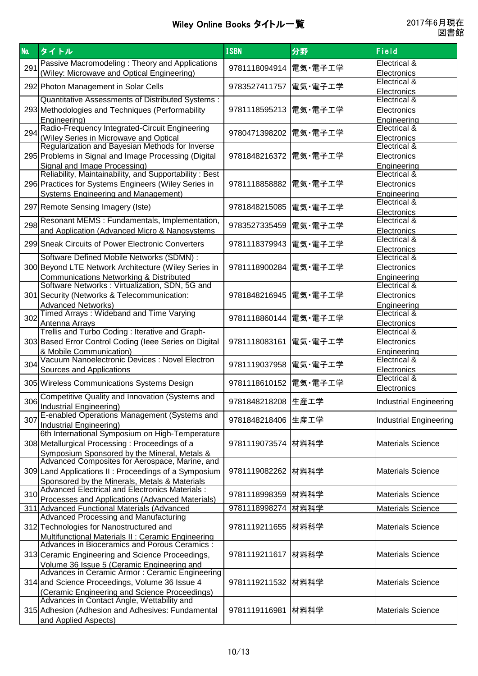| <b>No.</b> | タイトル                                                                                           | <b>ISBN</b>            | 分野      | Field                         |
|------------|------------------------------------------------------------------------------------------------|------------------------|---------|-------------------------------|
|            | Passive Macromodeling: Theory and Applications                                                 |                        |         | Electrical &                  |
| 291        | (Wiley: Microwave and Optical Engineering)                                                     | 9781118094914  電気・電子工学 |         | Electronics                   |
|            |                                                                                                |                        |         | Electrical &                  |
|            | 292 Photon Management in Solar Cells                                                           | 9783527411757          | 電気・電子工学 |                               |
|            | Quantitative Assessments of Distributed Systems:                                               |                        |         | Electronics                   |
|            |                                                                                                |                        |         | Electrical &                  |
|            | 293 Methodologies and Techniques (Performability                                               | 9781118595213  電気・電子工学 |         | Electronics                   |
|            | Engineering)                                                                                   |                        |         | Engineering                   |
| 294        | Radio-Frequency Integrated-Circuit Engineering                                                 | 9780471398202          | 電気・電子工学 | Electrical &                  |
|            | (Wiley Series in Microwave and Optical                                                         |                        |         | Electronics                   |
|            | Regularization and Bayesian Methods for Inverse                                                |                        |         | Electrical &                  |
|            | 295 Problems in Signal and Image Processing (Digital                                           | 9781848216372          | 電気・電子工学 | Electronics                   |
|            | Signal and Image Processing)                                                                   |                        |         | Engineering                   |
|            | Reliability, Maintainability, and Supportability: Best                                         |                        |         | Electrical &                  |
|            | 296 Practices for Systems Engineers (Wiley Series in                                           | 9781118858882          | 電気・電子工学 | Electronics                   |
|            | <b>Systems Engineering and Management)</b>                                                     |                        |         | Engineering                   |
|            |                                                                                                |                        |         | Electrical &                  |
|            | 297 Remote Sensing Imagery (Iste)                                                              | 9781848215085          | 電気・電子工学 |                               |
|            |                                                                                                |                        |         | Electronics                   |
| 298        | Resonant MEMS : Fundamentals, Implementation,                                                  | 9783527335459  電気・電子工学 |         | Electrical &                  |
|            | and Application (Advanced Micro & Nanosystems                                                  |                        |         | Electronics                   |
|            | 299 Sneak Circuits of Power Electronic Converters                                              | 9781118379943          | 電気・電子工学 | Electrical &                  |
|            |                                                                                                |                        |         | Electronics                   |
|            | Software Defined Mobile Networks (SDMN) :                                                      |                        |         | Electrical &                  |
|            | 300 Beyond LTE Network Architecture (Wiley Series in                                           | 9781118900284          | 電気・電子工学 | Electronics                   |
|            | <b>Communications Networking &amp; Distributed</b>                                             |                        |         | Engineering                   |
|            | Software Networks: Virtualization, SDN, 5G and                                                 |                        |         | Electrical &                  |
|            | 301 Security (Networks & Telecommunication:                                                    | 9781848216945          | 電気・電子工学 | Electronics                   |
|            | <b>Advanced Networks)</b>                                                                      |                        |         | Engineering                   |
|            | Timed Arrays: Wideband and Time Varying                                                        |                        |         | Electrical &                  |
| 302        |                                                                                                | 9781118860144          | 電気・電子工学 |                               |
|            | Antenna Arrays<br>Trellis and Turbo Coding: Iterative and Graph-                               |                        |         | Electronics<br>Electrical &   |
|            |                                                                                                |                        |         |                               |
|            | 303 Based Error Control Coding (leee Series on Digital                                         | 9781118083161          | 電気・電子工学 | Electronics                   |
|            | & Mobile Communication)                                                                        |                        |         | Engineering                   |
| 304        | Vacuum Nanoelectronic Devices : Novel Electron                                                 | 9781119037958          | 電気・電子工学 | Electrical &                  |
|            | Sources and Applications                                                                       |                        |         | Electronics                   |
|            | 305 Wireless Communications Systems Design                                                     | 9781118610152  電気·電子工学 |         | Electrical &                  |
|            |                                                                                                |                        |         | Electronics                   |
|            | Competitive Quality and Innovation (Systems and                                                |                        |         |                               |
|            | 306 Industrial Engineering)                                                                    | 9781848218208 生産工学     |         | Industrial Engineering        |
|            | E-enabled Operations Management (Systems and                                                   |                        |         |                               |
| 307        | Industrial Engineering)                                                                        | 9781848218406 生産工学     |         | <b>Industrial Engineering</b> |
|            | 6th International Symposium on High-Temperature                                                |                        |         |                               |
|            | 308 Metallurgical Processing: Proceedings of a                                                 | 9781119073574 材料科学     |         | <b>Materials Science</b>      |
|            |                                                                                                |                        |         |                               |
|            | Symposium Sponsored by the Mineral, Metals &<br>Advanced Composites for Aerospace, Marine, and |                        |         |                               |
|            |                                                                                                |                        |         |                               |
|            | 309 Land Applications II: Proceedings of a Symposium                                           | 9781119082262 材料科学     |         | <b>Materials Science</b>      |
|            | Sponsored by the Minerals, Metals & Materials                                                  |                        |         |                               |
| 310        | Advanced Electrical and Electronics Materials :                                                | 9781118998359  材料科学    |         | <b>Materials Science</b>      |
|            | Processes and Applications (Advanced Materials)                                                |                        |         |                               |
|            | 311 Advanced Functional Materials (Advanced                                                    | 9781118998274 材料科学     |         | Materials Science             |
|            | <b>Advanced Processing and Manufacturing</b>                                                   |                        |         |                               |
|            | 312 Technologies for Nanostructured and                                                        | 9781119211655  材料科学    |         | <b>Materials Science</b>      |
|            | <b>Multifunctional Materials II: Ceramic Engineering</b>                                       |                        |         |                               |
|            | Advances in Bioceramics and Porous Ceramics :                                                  |                        |         |                               |
|            | 313 Ceramic Engineering and Science Proceedings,                                               | 9781119211617  材料科学    |         | <b>Materials Science</b>      |
|            |                                                                                                |                        |         |                               |
|            | Volume 36 Issue 5 (Ceramic Engineering and                                                     |                        |         |                               |
|            | Advances in Ceramic Armor: Ceramic Engineering                                                 |                        |         |                               |
|            | 314 and Science Proceedings, Volume 36 Issue 4                                                 | 9781119211532 材料科学     |         | <b>Materials Science</b>      |
|            | (Ceramic Engineering and Science Proceedings)                                                  |                        |         |                               |
|            | Advances in Contact Angle, Wettability and                                                     |                        |         |                               |
|            | 315 Adhesion (Adhesion and Adhesives: Fundamental                                              | 9781119116981          | 材料科学    | <b>Materials Science</b>      |
|            | and Applied Aspects)                                                                           |                        |         |                               |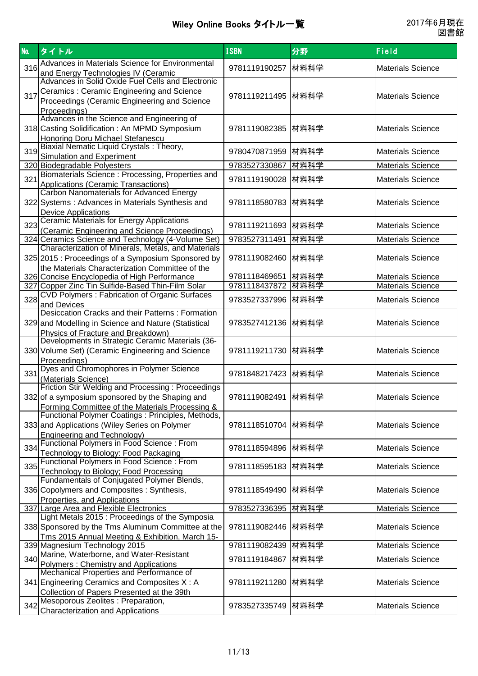| No. | タイトル                                                                                                                                                                                                  | <b>ISBN</b>        | 分野   | Field                    |
|-----|-------------------------------------------------------------------------------------------------------------------------------------------------------------------------------------------------------|--------------------|------|--------------------------|
| 316 | Advances in Materials Science for Environmental                                                                                                                                                       | 9781119190257      | 材料科学 | <b>Materials Science</b> |
| 317 | and Energy Technologies IV (Ceramic<br>Advances in Solid Oxide Fuel Cells and Electronic<br>Ceramics: Ceramic Engineering and Science<br>Proceedings (Ceramic Engineering and Science<br>Proceedings) | 9781119211495 材料科学 |      | <b>Materials Science</b> |
|     | Advances in the Science and Engineering of<br>318 Casting Solidification: An MPMD Symposium<br><b>Honoring Doru Michael Stefanescu</b>                                                                | 9781119082385      | 材料科学 | <b>Materials Science</b> |
| 319 | Biaxial Nematic Liquid Crystals: Theory,<br>Simulation and Experiment                                                                                                                                 | 9780470871959      | 材料科学 | <b>Materials Science</b> |
|     | 320 Biodegradable Polyesters                                                                                                                                                                          | 9783527330867      | 材料科学 | <b>Materials Science</b> |
| 321 | Biomaterials Science: Processing, Properties and<br>Applications (Ceramic Transactions)                                                                                                               | 9781119190028      | 材料科学 | <b>Materials Science</b> |
|     | <b>Carbon Nanomaterials for Advanced Energy</b><br>322 Systems: Advances in Materials Synthesis and<br><b>Device Applications</b>                                                                     | 9781118580783      | 材料科学 | <b>Materials Science</b> |
|     | 323 Ceramic Materials for Energy Applications<br>(Ceramic Engineering and Science Proceedings)                                                                                                        | 9781119211693      | 材料科学 | <b>Materials Science</b> |
|     | 324 Ceramics Science and Technology (4-Volume Set)                                                                                                                                                    | 9783527311491      | 材料科学 | <b>Materials Science</b> |
|     | Characterization of Minerals, Metals, and Materials<br>325 2015 : Proceedings of a Symposium Sponsored by<br>the Materials Characterization Committee of the                                          | 9781119082460      | 材料科学 | <b>Materials Science</b> |
|     | 326 Concise Encyclopedia of High Performance                                                                                                                                                          | 9781118469651      | 材料科学 | <b>Materials Science</b> |
|     | 327 Copper Zinc Tin Sulfide-Based Thin-Film Solar                                                                                                                                                     | 9781118437872      | 材料科学 | <b>Materials Science</b> |
| 328 | <b>CVD Polymers: Fabrication of Organic Surfaces</b><br>and Devices                                                                                                                                   | 9783527337996      | 材料科学 | <b>Materials Science</b> |
|     | Desiccation Cracks and their Patterns: Formation<br>329 and Modelling in Science and Nature (Statistical<br>Physics of Fracture and Breakdown)                                                        | 9783527412136      | 材料科学 | <b>Materials Science</b> |
|     | Developments in Strategic Ceramic Materials (36-<br>330 Volume Set) (Ceramic Engineering and Science<br>Proceedings)                                                                                  | 9781119211730      | 材料科学 | <b>Materials Science</b> |
| 331 | Dyes and Chromophores in Polymer Science<br>(Materials Science)                                                                                                                                       | 9781848217423      | 材料科学 | <b>Materials Science</b> |
|     | Friction Stir Welding and Processing: Proceedings<br>332 of a symposium sponsored by the Shaping and<br>Forming Committee of the Materials Processing &                                               | 9781119082491 材料科学 |      | <b>Materials Science</b> |
|     | Functional Polymer Coatings : Principles, Methods,<br>333 and Applications (Wiley Series on Polymer<br><b>Engineering and Technology)</b>                                                             | 9781118510704      | 材料科学 | <b>Materials Science</b> |
| 334 | Functional Polymers in Food Science: From<br>Technology to Biology: Food Packaging                                                                                                                    | 9781118594896      | 材料科学 | <b>Materials Science</b> |
| 335 | <b>Functional Polymers in Food Science: From</b><br>Technology to Biology; Food Processing                                                                                                            | 9781118595183      | 材料科学 | <b>Materials Science</b> |
|     | Fundamentals of Conjugated Polymer Blends,<br>336 Copolymers and Composites: Synthesis,<br>Properties, and Applications                                                                               | 9781118549490      | 材料科学 | <b>Materials Science</b> |
|     | 337 Large Area and Flexible Electronics                                                                                                                                                               | 9783527336395      | 材料科学 | <b>Materials Science</b> |
|     | Light Metals 2015 : Proceedings of the Symposia<br>338 Sponsored by the Tms Aluminum Committee at the<br>Tms 2015 Annual Meeting & Exhibition, March 15-                                              | 9781119082446      | 材料科学 | <b>Materials Science</b> |
|     | 339 Magnesium Technology 2015                                                                                                                                                                         | 9781119082439      | 材料科学 | <b>Materials Science</b> |
| 340 | Marine, Waterborne, and Water-Resistant<br><b>Polymers: Chemistry and Applications</b>                                                                                                                | 9781119184867      | 材料科学 | <b>Materials Science</b> |
|     | Mechanical Properties and Performance of<br>341 Engineering Ceramics and Composites X: A<br>Collection of Papers Presented at the 39th                                                                | 9781119211280      | 材料科学 | <b>Materials Science</b> |
|     | 342 Mesoporous Zeolites : Preparation,<br><b>Characterization and Applications</b>                                                                                                                    | 9783527335749 材料科学 |      | <b>Materials Science</b> |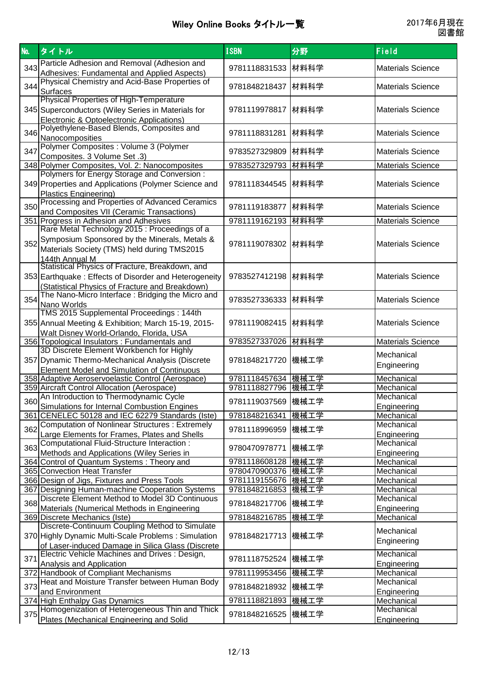| No. | タイトル                                                                                                                                                                | <b>ISBN</b>         | 分野   | Field                     |
|-----|---------------------------------------------------------------------------------------------------------------------------------------------------------------------|---------------------|------|---------------------------|
| 343 | Particle Adhesion and Removal (Adhesion and<br>Adhesives: Fundamental and Applied Aspects)                                                                          | 9781118831533       | 材料科学 | <b>Materials Science</b>  |
| 344 | Physical Chemistry and Acid-Base Properties of<br><b>Surfaces</b>                                                                                                   | 9781848218437       | 材料科学 | <b>Materials Science</b>  |
|     | Physical Properties of High-Temperature<br>345 Superconductors (Wiley Series in Materials for<br>Electronic & Optoelectronic Applications)                          | 9781119978817       | 材料科学 | <b>Materials Science</b>  |
| 346 | Polyethylene-Based Blends, Composites and<br>Nanocomposities                                                                                                        | 9781118831281       | 材料科学 | <b>Materials Science</b>  |
| 347 | Polymer Composites : Volume 3 (Polymer<br>Composites. 3 Volume Set .3)                                                                                              | 9783527329809       | 材料科学 | <b>Materials Science</b>  |
|     | 348 Polymer Composites, Vol. 2: Nanocomposites                                                                                                                      | 9783527329793       | 材料科学 | <b>Materials Science</b>  |
|     | Polymers for Energy Storage and Conversion :<br>349 Properties and Applications (Polymer Science and<br><b>Plastics Engineering)</b>                                | 9781118344545       | 材料科学 | <b>Materials Science</b>  |
|     | 350 Processing and Properties of Advanced Ceramics<br>and Composites VII (Ceramic Transactions)                                                                     | 9781119183877       | 材料科学 | <b>Materials Science</b>  |
|     | 351 Progress in Adhesion and Adhesives                                                                                                                              | 9781119162193       | 材料科学 | <b>Materials Science</b>  |
|     | Rare Metal Technology 2015 : Proceedings of a<br>352 Symposium Sponsored by the Minerals, Metals &<br>Materials Society (TMS) held during TMS2015<br>144th Annual M | 9781119078302 材料科学  |      | <b>Materials Science</b>  |
|     | Statistical Physics of Fracture, Breakdown, and<br>353 Earthquake: Effects of Disorder and Heterogeneity<br>(Statistical Physics of Fracture and Breakdown)         | 9783527412198       | 材料科学 | <b>Materials Science</b>  |
| 354 | The Nano-Micro Interface: Bridging the Micro and<br>Nano Worlds                                                                                                     | 9783527336333       | 材料科学 | <b>Materials Science</b>  |
|     | TMS 2015 Supplemental Proceedings: 144th<br>355 Annual Meeting & Exhibition; March 15-19, 2015-<br>Walt Disney World-Orlando, Florida, USA                          | 9781119082415       | 材料科学 | <b>Materials Science</b>  |
|     | 356 Topological Insulators: Fundamentals and                                                                                                                        | 9783527337026  材料科学 |      | <b>Materials Science</b>  |
|     | 3D Discrete Element Workbench for Highly<br>357 Dynamic Thermo-Mechanical Analysis (Discrete<br>Element Model and Simulation of Continuous                          | 9781848217720       | 機械工学 | Mechanical<br>Engineering |
|     | 358 Adaptive Aeroservoelastic Control (Aerospace)                                                                                                                   | 9781118457634 機械工学  |      | Mechanical                |
|     | 359 Aircraft Control Allocation (Aerospace)                                                                                                                         | 9781118827796 機械工学  |      | Mechanical                |
|     | An Introduction to Thermodynamic Cycle<br>360 Simulations for Internal Combustion Engines                                                                           | 9781119037569 機械工学  |      | Mechanical<br>Engineering |
|     | 361 CENELEC 50128 and IEC 62279 Standards (Iste)                                                                                                                    | 9781848216341       | 機械工学 | Mechanical                |
| 362 | Computation of Nonlinear Structures: Extremely<br>Large Elements for Frames, Plates and Shells                                                                      | 9781118996959       | 機械工学 | Mechanical<br>Engineering |
| 363 | Computational Fluid-Structure Interaction :<br>Methods and Applications (Wiley Series in                                                                            | 9780470978771       | 機械工学 | Mechanical<br>Engineering |
|     | 364 Control of Quantum Systems: Theory and                                                                                                                          | 9781118608128 機械工学  |      | Mechanical                |
|     | 365 Convection Heat Transfer                                                                                                                                        | 9780470900376 機械工学  |      | Mechanical                |
|     | 366 Design of Jigs, Fixtures and Press Tools                                                                                                                        | 9781119155676 機械工学  |      | Mechanical                |
|     | 367 Designing Human-machine Cooperation Systems                                                                                                                     | 9781848216853 機械工学  |      | Mechanical                |
| 368 | Discrete Element Method to Model 3D Continuous<br>Materials (Numerical Methods in Engineering                                                                       | 9781848217706       | 機械工学 | Mechanical<br>Engineering |
|     | 369 Discrete Mechanics (Iste)                                                                                                                                       | 9781848216785       | 機械工学 | Mechanical                |
|     | Discrete-Continuum Coupling Method to Simulate                                                                                                                      |                     |      | Mechanical                |
|     | 370 Highly Dynamic Multi-Scale Problems: Simulation<br>of Laser-induced Damage in Silica Glass (Discrete                                                            | 9781848217713 機械工学  |      | Engineering               |
| 371 | Electric Vehicle Machines and Drives: Design,<br>Analysis and Application                                                                                           | 9781118752524       | 機械工学 | Mechanical<br>Engineering |
|     | 372 Handbook of Compliant Mechanisms                                                                                                                                | 9781119953456       | 機械工学 | Mechanical                |
| 373 | Heat and Moisture Transfer between Human Body<br>and Environment                                                                                                    | 9781848218932 機械工学  |      | Mechanical<br>Engineering |
|     | 374 High Enthalpy Gas Dynamics                                                                                                                                      | 9781118821893       | 機械工学 | Mechanical                |
|     | 375 Homogenization of Heterogeneous Thin and Thick<br>Plates (Mechanical Engineering and Solid                                                                      | 9781848216525 機械工学  |      | Mechanical<br>Engineering |